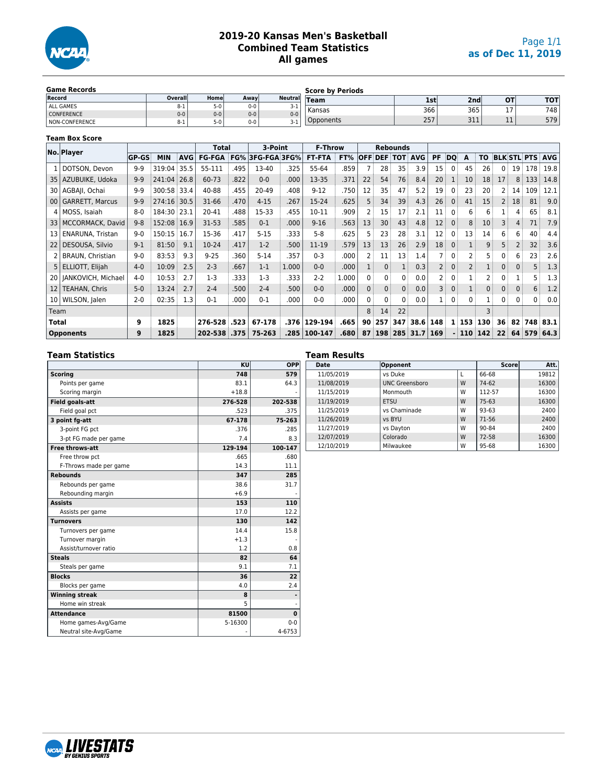

### **2019-20 Kansas Men's Basketball Combined Team Statistics All games**

| <b>Game Records</b>   |         |         |       |                 | <b>Score by Periods</b> |                  |                 |    |            |
|-----------------------|---------|---------|-------|-----------------|-------------------------|------------------|-----------------|----|------------|
| Record                | Overall | Home    | Awavl | <b>Neutrall</b> | <b>Team</b>             | 1st'             | 2 <sub>nd</sub> | ΟТ | <b>TOT</b> |
| ALL GAMES             | ö-1     | $5-0$   | $0-0$ | 3-1             | Kansas                  | 366 <sub>1</sub> | 365             |    | 748        |
| <b>CONFERENCE</b>     | $0 - 0$ | $0 - 0$ | $0-0$ | $0-0$           |                         |                  |                 |    |            |
| <b>NON-CONFERENCE</b> | ö-1     | 5-0     | $0-0$ | 3-1             | Dpponents               | 257              | 311             | -- | 579        |

#### **Team Box Score**

|                 | No. Player              |              |             |      | <b>Total</b>  |      | 3-Point      |       | <b>F-Throw</b> |       |                |                | <b>Rebounds</b>    |          |                |                |                |                |                |              |        |                        |
|-----------------|-------------------------|--------------|-------------|------|---------------|------|--------------|-------|----------------|-------|----------------|----------------|--------------------|----------|----------------|----------------|----------------|----------------|----------------|--------------|--------|------------------------|
|                 |                         | <b>GP-GS</b> | <b>MIN</b>  | AVG  | <b>FG-FGA</b> | FG%  | 3FG-FGA 3FG% |       | <b>FT-FTA</b>  | FT%   | <b>OFF</b>     |                | <b>DEF TOT AVG</b> |          | PF             | DO             | A              | <b>TO</b>      |                |              |        | <b>BLK STL PTS AVG</b> |
|                 | DOTSON, Devon           | $9 - 9$      | 319:04      | 35.5 | 55-111        | .495 | 13-40        | .325  | 55-64          | .859  |                | 28             | 35                 | 3.9      | 15             | 0 <sup>3</sup> | 45             | 26             | $\Omega$       |              | 19 178 | 19.8                   |
|                 | 35   AZUBUIKE, Udoka    | $9-9$        | 241:04      | 26.8 | 60-73         | .822 | $0-0$        | .000  | 13-35          | .371  | 22             | 54             | 76                 | 8.4      | 20             | 1 <sup>3</sup> | 10             | 18             | 17             |              | 8:133  | 14.8                   |
|                 | 30   AGBAII, Ochai      | $9 - 9$      | 300:58 33.4 |      | 40-88         | .455 | 20-49        | .408  | $9 - 12$       | .750  | 12             | 35             | 47                 | 5.2      | 19             | $^{\circ}$     | 23             | 20             | 2              | 14           | 109    | 12.1                   |
|                 | 00   GARRETT, Marcus    | $9 - 9$      | 274:16 30.5 |      | $31 - 66$     | .470 | $4 - 15$     | .267  | 15-24          | .625  |                | 34             | 39                 | 4.3      | 26             | $\mathbf{0}$   | 41             | 15             | $\overline{2}$ | 18           | 81     | 9.0                    |
|                 | 4   MOSS, Isaiah        | $8 - 0$      | 184:30 23.1 |      | 20-41         | .488 | 15-33        | .455  | $10 - 11$      | .909  |                | 15             | 17                 | 2.1      | 11             | 0              | 6              | 6              |                | 4            | 65     | 8.1                    |
|                 | 33   MCCORMACK, David   | $9 - 8$      | 152:08 16.9 |      | $31 - 53$     | .585 | $0 - 1$      | .000  | $9 - 16$       | .563  | 13             | 30             | 43                 | 4.8      | 12             | $\mathbf{0}$   | 8              | 10             | 3              | 4            | 71     | 7.9                    |
| 13              | <b>ENARUNA, Tristan</b> | $9-0$        | 150:15      | 16.7 | 15-36         | .417 | $5 - 15$     | .333  | $5 - 8$        | .625  |                | 23             | 28                 | 3.1      | 12             | $\mathbf{0}$   | 13             | 14             | 6              | 6            | 40     | 4.4                    |
| 22              | DESOUSA, Silvio         | $9-1$        | 81:50       | 9.1  | $10-24$       | .417 | $1-2$        | .500  | 11-19          | .579  | 13             | 13             | 26                 | 2.9      | 18             | $\mathbf{0}$   |                | 9              | 5              | 2            | 32     | 3.6                    |
|                 | BRAUN, Christian        | $9 - 0$      | 83:53       | 9.3  | $9 - 25$      | .360 | $5 - 14$     | .357  | $0 - 3$        | .000  |                | 11             | 13                 | 1.4      |                | $\mathbf{0}$   | 2              | 5.             | 0              | 6            | 23     | 2.6                    |
|                 | 5   ELLIOTT, Elijah     | $4 - 0$      | 10:09       | 2.5  | $2 - 3$       | .667 | $1 - 1$      | 1.000 | $0-0$          | .000  |                | $\mathbf{0}$   |                    | 0.3      | $\overline{2}$ | $\mathbf{0}$   | $\overline{2}$ |                | $\mathbf{0}$   | 0            | 5      | 1.3                    |
|                 | 20   JANKOVICH, Michael | $4 - 0$      | 10:53       | 2.7  | $1-3$         | 333  | $1-3$        | .333  | $2 - 2$        | 1.000 | $\Omega$       | 0              | 0 <sup>1</sup>     | 0.0      | 2              | $\Omega$       |                | $\overline{c}$ | $\Omega$       |              | 5      | 1.3                    |
| 12 <sub>1</sub> | TEAHAN, Chris           | $5 - 0$      | 13:24       | 2.7  | $2 - 4$       | 500  | $2 - 4$      | .500  | $0 - 0$        | .000  | $\mathbf{0}$   | $\overline{0}$ | 0                  | 0.0      | 3              | $\mathbf{0}$   | $\mathbf{1}$   | $\mathbf{0}$   | $\Omega$       | $\mathbf{0}$ | 6      | 1.2                    |
|                 | 10   WILSON, Jalen      | $2 - 0$      | 02:35       | 1.3  | $0 - 1$       | .000 | $0 - 1$      | .000  | $0-0$          | .000  | 0              | $\mathbf{0}$   | 0 <sup>3</sup>     | 0.0      | 1              | $\mathbf{0}$   | $\mathbf{0}$   |                | $\mathbf{0}$   | $\mathbf{0}$ | 0      | 0.0                    |
| Team            |                         |              |             |      |               |      |              |       |                |       | 8 <sup>3</sup> | 14             | 22                 |          |                |                |                | 3              |                |              |        |                        |
| Total           |                         | 9            | 1825        |      | 276-528       | .523 | 67-178       | .376  | 129-194        | .665  | 90             | 257            | 347                | 38.6 148 |                | $\mathbf{1}$   | 153            | 130            | 36             | 82           |        | 748 83.1               |
|                 | <b>Opponents</b>        | 9            | 1825        |      | 202-538       | .375 | 75-263       | .285  | 100-147        | .680  | 87             | 198            | 285                | 31.7     | 169            |                | $-110$         | 142            | 22             |              |        | 64 579 64.3            |

#### **Team Statistics**

|                        | ΚU      | <b>OPP</b>   |
|------------------------|---------|--------------|
| <b>Scoring</b>         | 748     | 579          |
| Points per game        | 83.1    | 64.3         |
| Scoring margin         | $+18.8$ |              |
| <b>Field goals-att</b> | 276-528 | 202-538      |
| Field goal pct         | .523    | .375         |
| 3 point fg-att         | 67-178  | 75-263       |
| 3-point FG pct         | .376    | .285         |
| 3-pt FG made per game  | 7.4     | 8.3          |
| <b>Free throws-att</b> | 129-194 | 100-147      |
| Free throw pct         | .665    | .680         |
| F-Throws made per game | 14.3    | 11.1         |
| <b>Rebounds</b>        | 347     | 285          |
| Rebounds per game      | 38.6    | 31.7         |
| Rebounding margin      | $+6.9$  |              |
| <b>Assists</b>         | 153     | 110          |
| Assists per game       | 17.0    | 12.2         |
| <b>Turnovers</b>       | 130     | 142          |
| Turnovers per game     | 144     | 15.8         |
| Turnover margin        | $+1.3$  |              |
| Assist/turnover ratio  | 1.2     | 0.8          |
| <b>Steals</b>          | 82      | 64           |
| Steals per game        | 9.1     | 7.1          |
| <b>Blocks</b>          | 36      | 22           |
| Blocks per game        | 4.0     | 2.4          |
| <b>Winning streak</b>  | 8       |              |
| Home win streak        | 5       |              |
| <b>Attendance</b>      | 81500   | $\mathbf{0}$ |
| Home games-Avg/Game    | 5-16300 | $0 - 0$      |
| Neutral site-Avg/Game  |         | 4-6753       |

| <b>Team Results</b> |                       |   |              |       |
|---------------------|-----------------------|---|--------------|-------|
| Date                | Opponent              |   | <b>Score</b> | Att.  |
| 11/05/2019          | vs Duke               | L | 66-68        | 19812 |
| 11/08/2019          | <b>UNC Greensboro</b> | W | 74-62        | 16300 |
| 11/15/2019          | Monmouth              | W | 112-57       | 16300 |
| 11/19/2019          | <b>ETSU</b>           | W | $75 - 63$    | 16300 |
| 11/25/2019          | vs Chaminade          | W | $93 - 63$    | 2400  |
| 11/26/2019          | vs BYU                | W | 71-56        | 2400  |
| 11/27/2019          | vs Dayton             | W | 90-84        | 2400  |
| 12/07/2019          | Colorado              | W | 72-58        | 16300 |
| 12/10/2019          | Milwaukee             | W | 95-68        | 16300 |

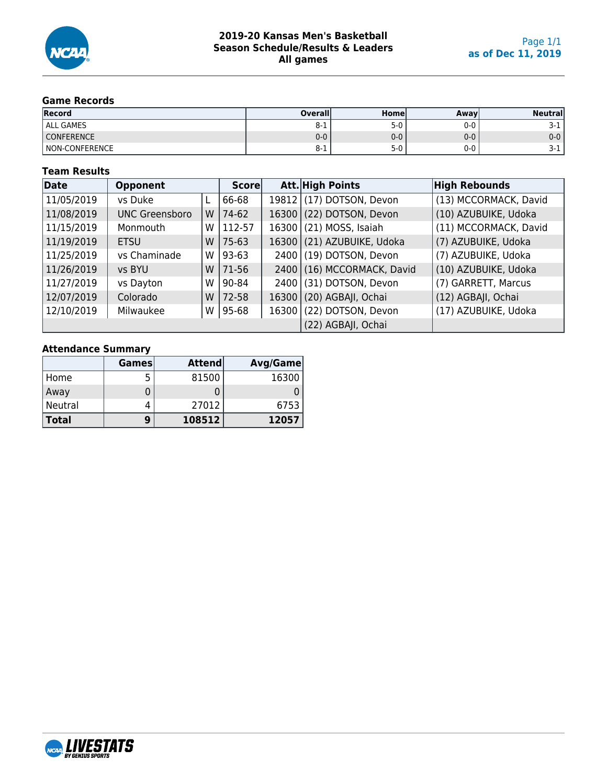

### **Game Records**

| Record            | <b>Overall</b> | Homel | Awavl   | <b>Neutral</b> |
|-------------------|----------------|-------|---------|----------------|
| <b>ALL GAMES</b>  | ŏ-1            | $5-0$ | 0-0     | J-1.           |
| <b>CONFERENCE</b> | $0 - 0$        | $0-0$ | $0 - 0$ | $0-0$          |
| NON-CONFERENCE    | 0-T            | $5-0$ | 0-0     | <b>J-1</b>     |

### **Team Results**

| Date       | <b>Opponent</b>       |   | Score   |       | Att. High Points      | <b>High Rebounds</b>  |
|------------|-----------------------|---|---------|-------|-----------------------|-----------------------|
| 11/05/2019 | vs Duke               |   | 66-68   | 19812 | (17) DOTSON, Devon    | (13) MCCORMACK, David |
| 11/08/2019 | <b>UNC Greensboro</b> | W | 74-62   | 16300 | (22) DOTSON, Devon    | (10) AZUBUIKE, Udoka  |
| 11/15/2019 | Monmouth              | W | 112-57  | 16300 | (21) MOSS, Isaiah     | (11) MCCORMACK, David |
| 11/19/2019 | <b>ETSU</b>           | W | $75-63$ | 16300 | (21) AZUBUIKE, Udoka  | (7) AZUBUIKE, Udoka   |
| 11/25/2019 | vs Chaminade          | W | 93-63   | 2400  | (19) DOTSON, Devon    | (7) AZUBUIKE, Udoka   |
| 11/26/2019 | vs BYU                | W | 71-56   | 2400  | (16) MCCORMACK, David | (10) AZUBUIKE, Udoka  |
| 11/27/2019 | vs Dayton             | W | 90-84   | 2400  | (31) DOTSON, Devon    | (7) GARRETT, Marcus   |
| 12/07/2019 | Colorado              | W | 72-58   | 16300 | (20) AGBAJI, Ochai    | (12) AGBAJI, Ochai    |
| 12/10/2019 | Milwaukee             | W | 95-68   | 16300 | (22) DOTSON, Devon    | (17) AZUBUIKE, Udoka  |
|            |                       |   |         |       | (22) AGBAJI, Ochai    |                       |

### **Attendance Summary**

|              | <b>Games</b> | <b>Attend</b> | <b>Avg/Game</b> |
|--------------|--------------|---------------|-----------------|
| Home         | 5            | 81500         | 16300           |
| Away         |              |               |                 |
| Neutral      | 4            | 27012         | 6753            |
| <b>Total</b> | 9            | 108512        | 12057           |

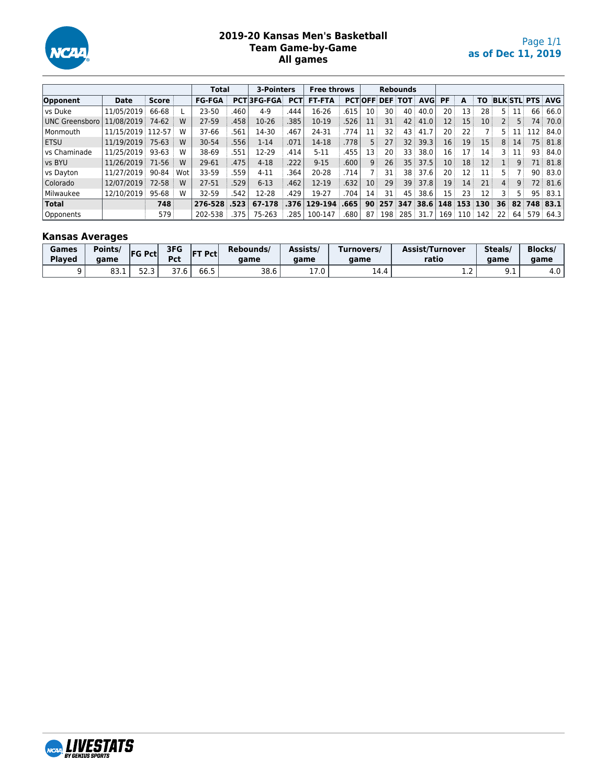

### **2019-20 Kansas Men's Basketball Team Game-by-Game All games**

|                       |                   |              |     | Total         |      | 3-Pointers         |            | <b>Free throws</b> |      |                 |                 | <b>Rebounds</b> |            |                 |                  |     |                 |                |                    |            |
|-----------------------|-------------------|--------------|-----|---------------|------|--------------------|------------|--------------------|------|-----------------|-----------------|-----------------|------------|-----------------|------------------|-----|-----------------|----------------|--------------------|------------|
| Opponent              | <b>Date</b>       | <b>Score</b> |     | <b>FG-FGA</b> |      | <b>PCT 3FG-FGA</b> | <b>PCT</b> | <b>FT-FTA</b>      |      | <b>PCTOFF</b>   |                 | <b>DEF TOT</b>  | <b>AVG</b> | PF              | A                | ΤO  |                 |                | <b>BLK STL PTS</b> | AVG        |
| vs Duke               | 11/05/2019        | 66-68        |     | 23-50         | .460 | $4-9$              | .444       | 16-26              | 615  | 10              | 30              | 40              | 40.0       | 20              | 13               | 28  | 5 :             | 11             | 66                 | 66.0       |
| <b>UNC Greensboro</b> | 11/08/2019        | 74-62        | W   | 27-59         | .458 | 10-26              | 385        | 10-19              | 526  | 11              | 31              | 42              | 41.0       | 12 <sup>2</sup> | 15               | 10  | 2 :             | 5 <sup>3</sup> | 74:                | 70.0       |
| Monmouth              | 11/15/2019 112-57 |              | w   | 37-66         | 561  | 14-30              | .467       | 24-31              | .774 | 11              | 32              | 43              | 41.7       | 20              | 22 <sub>1</sub>  |     | 5 :             |                | 112                | 84.0       |
| l ETSU                | 11/19/2019        | $75-63$      | W   | 30-54         | .556 | $1 - 14$           | .071       | 14-18              | .778 | 5               |                 | 32              | 39.3       | 16              | 19               | 15  | 8 <sup>3</sup>  | 14             | 75                 | 81.8       |
| vs Chaminade          | 11/25/2019        | 93-63        | W   | 38-69         | 551  | 12-29              | .414       | $5 - 11$           | 455  | 13              | 20              | 33              | 38.0       | 16 :            |                  | 14  | 3 :             | 11             | 93                 | 84.0       |
| vs BYU                | 11/26/2019        | 71-56        | W   | 29-61         | 475  | $4 - 18$           | .222       | $9 - 15$           | .600 | 9               | 26              | 35              | 37.5       | 10 <sup>1</sup> | 18               | 12  | 1:              | 9              | 71                 | 81.8       |
| vs Dayton             | 11/27/2019        | 90-84        | Wot | 33-59         | 559  | $4 - 11$           | 364        | 20-28              | 714  |                 | 31              | 38              | 37.6       | 20              | 12               | 11  | 5 :             |                | 90                 | 83.0       |
| Colorado              | 12/07/2019        | 72-58        | W   | 27-51         | 529  | $6 - 13$           | .462       | $12 - 19$          | 632  | 10 <sup>°</sup> | 29 <sup>3</sup> | 39              | 37.8       | 19 <sup>3</sup> | 14               | 21  | 4:              | 9              | 72                 | 81.6       |
| Milwaukee             | 12/10/2019        | 95-68        | w   | 32-59         | 542  | 12-28              | .429       | 19-27              | 704  | 14              | 31              | 45              | 38.6       | 15 <sup>1</sup> | 23               | 12  | 3               | 5.             | 95                 | 83.1       |
| <b>Total</b>          |                   | 748          |     | 276-528       | .523 | 67-178             | .376       | 129-194            | .665 | $90^{\circ}$    | 257             | 347             | 38.6       |                 | 148 153          | 130 | 36 <sup>3</sup> | 82             |                    | $748$ 83.1 |
| Opponents             |                   | 579          |     | 202-538       | .375 | 75-263             | .285       | 100-147            | 680  | 87              | 198             | 285             | 31.7       | 169             | 110 <sup>1</sup> | 142 | 22:             | 64 i           | 579                | 64.3       |

### **Kansas Averages**

| <b>Games</b><br><b>Played</b> | Points/<br>aame | <b>FG Pct</b> | 3FG<br>Pct                        | <b>FT Pct</b> | Rebounds/<br>aame | Assists/<br>aame | Turnovers/<br>aame | Assist/Turnover<br>ratio | Steals/<br>aame | <b>Blocks</b><br>aame |
|-------------------------------|-----------------|---------------|-----------------------------------|---------------|-------------------|------------------|--------------------|--------------------------|-----------------|-----------------------|
|                               | ດລ<br>0J. L     | כ רם<br>د. 2د | $\sim$ $-$<br>$\epsilon$<br>ں ، ر | ---<br>66.5   | 38.6              | ⊥ / .∪           | 14.4               | $\sim$<br>. <u>.</u>     | シ・エ             | 4.0                   |

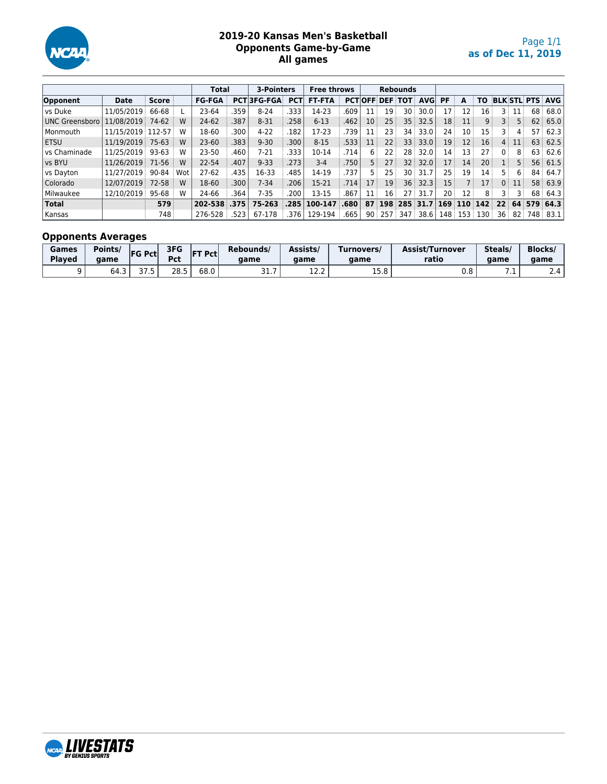

### **2019-20 Kansas Men's Basketball Opponents Game-by-Game All games**

|                |                   |              |     | Total         |            | 3-Pointers     |            | <b>Free throws</b> |            |                |                 | <b>Rebounds</b> |            |              |                   |                |                 |                 |                    |      |
|----------------|-------------------|--------------|-----|---------------|------------|----------------|------------|--------------------|------------|----------------|-----------------|-----------------|------------|--------------|-------------------|----------------|-----------------|-----------------|--------------------|------|
| Opponent       | <b>Date</b>       | <b>Score</b> |     | <b>FG-FGA</b> | <b>PCT</b> | <b>3FG-FGA</b> | <b>PCT</b> | <b>FT-FTA</b>      | <b>PCT</b> | 'lOFF i        | <b>DEF</b>      | <b>TOT</b>      | <b>AVG</b> | <b>PF</b>    | A                 | <b>TO</b>      |                 |                 | <b>BLK STL PTS</b> | AVG  |
| vs Duke        | 11/05/2019        | 66-68        |     | 23-64         | 359        | $8 - 24$       | 333        | 14-23              | .609       | 11             | 19              | 30              | 30.0       | 17           | 12                | 16             | 3 :             | 11              | 68                 | 68.0 |
| UNC Greensboro | 11/08/2019        | 74-62        | W   | 24-62         | .387       | $8 - 31$       | 258        | $6 - 13$           | 462        | 10             | 25 <sup>1</sup> | 35              | 32.5       | 18           | 11                | 9 <sup>1</sup> | 3 :             | 5.              | 62                 | 65.0 |
| Monmouth       | 11/15/2019 112-57 |              | W   | 18-60         | .300       | $4 - 22$       | 182        | 17-23              | 739        | 11             | 23 <sup>1</sup> | 34              | 33.0       | 24           | 10 <sup>1</sup>   | 15             | 3 !             | 4               | 57                 | 62.3 |
| l ETSU         | 11/19/2019        | $75-63$      | W   | $23 - 60$     | .383       | $9 - 30$       | .300       | $8 - 15$           | .533       | 11             | 22              | 33              | 33.0       | 19           | $12 \overline{ }$ | 16             | 4:              | 11              | 63                 | 62.5 |
| vs Chaminade   | 11/25/2019        | 93-63        | w   | $23 - 50$     | .460       | $7-21$         | .333       | 10-14              | 714        | 6              | 22 :            | 28              | 32.0       | 14           | 13 :              | 27             | 0 <sup>1</sup>  | 8               | 63                 | 62.6 |
| vs BYU         | 11/26/2019        | 71-56        | W   | 22-54         | .407       | $9 - 33$       | .273       | $3-4$              | 750        | 5 <sup>1</sup> | 27              | 32              | 32.0       | 17           | 14                | 20             |                 | 5               | 56                 | 61.5 |
| vs Dayton      | 11/27/2019        | 90-84        | Wot | $27-62$       | 435        | 16-33          | .485       | 14-19              | 737        | 5.             | 25              | 30              | 31.7       | 25           | 19                | 14             | 5 :             | 6               | 84                 | 64.7 |
| Colorado       | 12/07/2019        | 72-58        | W   | 18-60         | .300       | $7 - 34$       | .206       | 15-21              | .714       | 17             | 19 <sup>1</sup> | 36 <sup>3</sup> | 32.3       | $15^{\circ}$ |                   | 17             | 0 <sup>1</sup>  | 11              | 58                 | 63.9 |
| Milwaukee      | 12/10/2019        | 95-68        | W   | 24-66         | .364       | 7-35           | 200        | 13-15              | .867       | 11             | 16              | 27 <sup>3</sup> | 31.7       | 20           | 12 :              | 8              | 3 :             |                 | 68                 | 64.3 |
| <b>Total</b>   |                   | 579          |     | 202-538 .375  |            | 75-263         | .285       | 100-147            | .680       | 87             | 198             | 285 31.7        |            | 169          | 110 <sup>3</sup>  | 142            | 22 <sup>1</sup> |                 | 64 579             | 64.3 |
| Kansas         |                   | 748          |     | 276-528       | .523       | 67-178         | .376       | 129-194            | .665       | 90             | 257             | 347             | 38.6       | 148          | 153               | 130            | 36              | 82 <sup>3</sup> | 748 i              | 83.1 |

# **Opponents Averages**

| Games<br><b>Played</b> | Points/<br>aame | <b>FG Pctl</b> | 3FG<br>Det <sup>1</sup><br>rcl | <b>FT Pct</b> | Rebounds/<br>aame    | Assists/<br>aame | Turnovers/<br>aame | <b>Assist/Turnover</b><br>ratio | Steals/<br>aame | <b>Blocks</b><br>game |
|------------------------|-----------------|----------------|--------------------------------|---------------|----------------------|------------------|--------------------|---------------------------------|-----------------|-----------------------|
|                        | 64.3            | ה רב<br>ر. ، ر | າວ ⊑<br>د.20                   | 68.0          | $\sim$ $\sim$<br>، ب | 14.L             | T E O.<br>1 J.O    | 0.8                             | .               | 2.4                   |

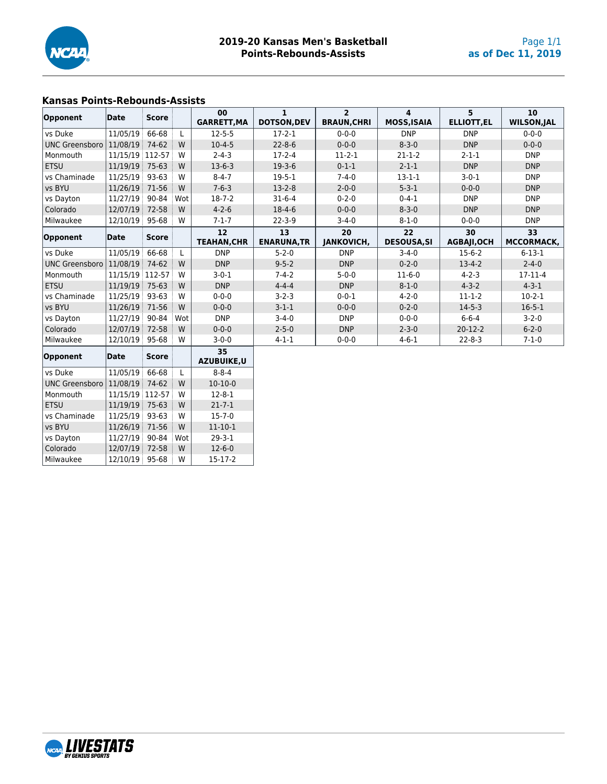

### **Kansas Points-Rebounds-Assists**

vs Chaminade | 11/25/19 | 93-63 | W | 15-7-0 vs BYU | 11/26/19 71-56 W | 11-10-1 vs Dayton 11/27/19 90-84 Wot 29-3-1<br>Colorado 12/07/19 72-58 W 12-6-0

Milwaukee 22/10/19 95-68 W 15-17-2

NCAR LIVESTATS

Colorado 12/07/19 72-58 W 12-6-0

|                       | Date            | <b>Score</b> |     | 00                 | $\mathbf{1}$       | $\overline{2}$     | 4                  | 5                 | 10                 |
|-----------------------|-----------------|--------------|-----|--------------------|--------------------|--------------------|--------------------|-------------------|--------------------|
| Opponent              |                 |              |     | <b>GARRETT, MA</b> | <b>DOTSON, DEV</b> | <b>BRAUN, CHRI</b> | <b>MOSS, ISAIA</b> | <b>ELLIOTT,EL</b> | <b>WILSON, JAL</b> |
| vs Duke               | 11/05/19        | 66-68        |     | $12 - 5 - 5$       | $17-2-1$           | $0 - 0 - 0$        | <b>DNP</b>         | <b>DNP</b>        | $0 - 0 - 0$        |
| <b>UNC Greensboro</b> | 11/08/19        | 74-62        | W   | $10-4-5$           | $22 - 8 - 6$       | $0 - 0 - 0$        | $8 - 3 - 0$        | <b>DNP</b>        | $0 - 0 - 0$        |
| Monmouth              | 11/15/19 112-57 |              | W   | $2 - 4 - 3$        | $17 - 2 - 4$       | $11-2-1$           | $21 - 1 - 2$       | $2 - 1 - 1$       | <b>DNP</b>         |
| <b>ETSU</b>           | 11/19/19        | 75-63        | W   | $13-6-3$           | $19-3-6$           | $0 - 1 - 1$        | $2 - 1 - 1$        | <b>DNP</b>        | <b>DNP</b>         |
| vs Chaminade          | 11/25/19        | 93-63        | W   | $8 - 4 - 7$        | $19 - 5 - 1$       | $7 - 4 - 0$        | $13 - 1 - 1$       | $3-0-1$           | <b>DNP</b>         |
| vs BYU                | 11/26/19        | 71-56        | W   | $7 - 6 - 3$        | $13-2-8$           | $2 - 0 - 0$        | $5 - 3 - 1$        | $0 - 0 - 0$       | <b>DNP</b>         |
| vs Dayton             | 11/27/19        | 90-84        | Wot | $18 - 7 - 2$       | $31 - 6 - 4$       | $0 - 2 - 0$        | $0 - 4 - 1$        | <b>DNP</b>        | <b>DNP</b>         |
| Colorado              | 12/07/19        | 72-58        | W   | $4 - 2 - 6$        | $18-4-6$           | $0 - 0 - 0$        | $8 - 3 - 0$        | <b>DNP</b>        | <b>DNP</b>         |
| Milwaukee             | 12/10/19 95-68  |              | W   | $7 - 1 - 7$        | $22 - 3 - 9$       | $3 - 4 - 0$        | $8 - 1 - 0$        | $0 - 0 - 0$       | <b>DNP</b>         |
|                       |                 |              |     | 12                 | 13                 | 20                 | 22                 | 30                | 33                 |
| Opponent              | Date            | <b>Score</b> |     | <b>TEAHAN, CHR</b> | <b>ENARUNA, TR</b> | <b>JANKOVICH,</b>  | <b>DESOUSA,SI</b>  | <b>AGBAJI,OCH</b> | MCCORMACK,         |
| vs Duke               | 11/05/19        | 66-68        | L   | <b>DNP</b>         | $5 - 2 - 0$        | <b>DNP</b>         | $3 - 4 - 0$        | $15-6-2$          | $6 - 13 - 1$       |
| <b>UNC Greensboro</b> | 11/08/19        | 74-62        | W   | <b>DNP</b>         | $9 - 5 - 2$        | <b>DNP</b>         | $0 - 2 - 0$        | $13 - 4 - 2$      | $2 - 4 - 0$        |
| Monmouth              | 11/15/19 112-57 |              | W   | $3-0-1$            | $7 - 4 - 2$        | $5 - 0 - 0$        | $11-6-0$           | $4 - 2 - 3$       | 17-11-4            |
| <b>ETSU</b>           | 11/19/19        | 75-63        | W   | <b>DNP</b>         | $4 - 4 - 4$        | <b>DNP</b>         | $8 - 1 - 0$        | $4 - 3 - 2$       | $4 - 3 - 1$        |
| vs Chaminade          | 11/25/19        | 93-63        | W   | $0 - 0 - 0$        | $3 - 2 - 3$        | $0 - 0 - 1$        | $4 - 2 - 0$        | $11 - 1 - 2$      | $10-2-1$           |
| vs BYU                | 11/26/19        | 71-56        | W   | $0 - 0 - 0$        | $3-1-1$            | $0 - 0 - 0$        | $0 - 2 - 0$        | $14 - 5 - 3$      | $16 - 5 - 1$       |
| vs Dayton             | 11/27/19        | 90-84        | Wot | <b>DNP</b>         | $3 - 4 - 0$        | <b>DNP</b>         | $0 - 0 - 0$        | $6 - 6 - 4$       | $3 - 2 - 0$        |
| Colorado              | 12/07/19        | 72-58        | W   | $0 - 0 - 0$        | $2 - 5 - 0$        | <b>DNP</b>         | $2 - 3 - 0$        | $20 - 12 - 2$     | $6 - 2 - 0$        |
| Milwaukee             | 12/10/19 95-68  |              | W   | $3 - 0 - 0$        | $4 - 1 - 1$        | $0 - 0 - 0$        | $4 - 6 - 1$        | $22 - 8 - 3$      | $7 - 1 - 0$        |
| Opponent              | Date            | <b>Score</b> |     | 35<br>AZUBUIKE, U  |                    |                    |                    |                   |                    |
| vs Duke               | 11/05/19        | 66-68        | L   | $8 - 8 - 4$        |                    |                    |                    |                   |                    |
| <b>UNC Greensboro</b> | 11/08/19        | 74-62        | W   | $10-10-0$          |                    |                    |                    |                   |                    |
| Monmouth              | 11/15/19 112-57 |              | W   | $12 - 8 - 1$       |                    |                    |                    |                   |                    |
| <b>ETSU</b>           | 11/19/19 75-63  |              | W   | $21 - 7 - 1$       |                    |                    |                    |                   |                    |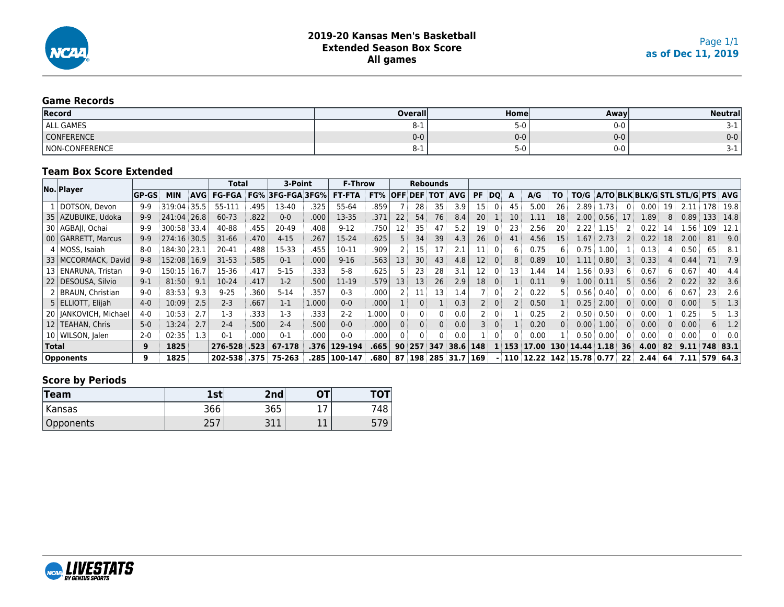

### **Game Records**

| Record                       | <b>Overall</b> | Homel             | Away    | Neutrall |
|------------------------------|----------------|-------------------|---------|----------|
| <b>ALL GAMES</b>             | O-T            | $\sqrt{ }$<br>ט-כ | $0 - 0$ |          |
| <b>CONFERENCE</b>            | $0-0$          | $0-0$             | $0-0$   | $0-0$    |
| <b>CONFERENCE</b><br>์ Non-เ | ŏ-⊥            | ־ט-ר              | $0 - 0$ |          |

### **Team Box Score Extended**

|              |                         |              |             |            | <b>Total</b>  |      | 3-Point                 |       | <b>F-Throw</b> |       |              |                | Rebounds |                |           |              |     |                            |           |                   |      |                 |                                  |     |      |          |      |
|--------------|-------------------------|--------------|-------------|------------|---------------|------|-------------------------|-------|----------------|-------|--------------|----------------|----------|----------------|-----------|--------------|-----|----------------------------|-----------|-------------------|------|-----------------|----------------------------------|-----|------|----------|------|
|              | No. Player              | <b>GP-GS</b> | <b>MIN</b>  | <b>AVG</b> | <b>FG-FGA</b> |      | <b>FG% 3FG-FGA 3FG%</b> |       | <b>FT-FTA</b>  | FT%   |              | <b>OFF DEF</b> | тот      | <b>AVG</b>     | <b>PF</b> | DO           | A   | A/G                        | <b>TO</b> | TO/G              |      |                 | A/TO BLK BLK/G STL STL/G PTS AVG |     |      |          |      |
|              | DOTSON, Devon           | $9-9$        | 319:04      | 35.5       | 55-111        | .495 | 13-40                   | .325  | 55-64          | .859  |              | 28             | 35       | 3.9            | 15        |              | 45  | 5.00                       | 26        | 2.89              | 73   |                 | 0.00                             | 19  | 2.11 | 178      | 19.8 |
|              | 35   AZUBUIKE, Udoka    | $9 - 9$      | 241:04 26.8 |            | 60-73         | .822 | $0 - 0$                 | .000  | 13-35          | .371  | 22           | 54             | 76       | 8.4            | 20        |              | 10  | 1.11                       | 18        | 2.00 <sub>1</sub> | 0.56 | 17              | 1.89                             | 8   | 0.89 | 133      | 14.8 |
|              | 30   AGBAII, Ochai      | $9-9$        | 300:58 33.4 |            | 40-88         | .455 | 20-49                   | .408  | $9-12$         | .750  | 12           | 35             | 47       | 5.2            | 19        |              | 23  | 2.56                       | 20        | 2.22              | 1.15 |                 | 0.22                             | 14  | .56  | 109      | 12.1 |
|              | 00 GARRETT, Marcus      | $9-9$        | 274:16 30.5 |            | 31-66         | .470 | $4 - 15$                | .267  | 15-24          | .625  |              | 34             | 39       | 4.3            | 26        | 0            | 41  | 4.56                       | 15        | 1.67              | 2.73 |                 | 0.22                             | 18  | 2.00 | 81       | 9.0  |
|              | 4   MOSS, Isaiah        | $8-0$        | 184:30 23.1 |            | 20-41         | .488 | 15-33                   | .455  | 10-11          | .909  |              | 15             | 17       | 2.1            | 11        |              | h   | 0.75                       | 6         | 0.75              | 00.ء |                 | 0.13                             | 4   | 0.50 | 65       | 8.1  |
|              | 33   MCCORMACK, David   | $9 - 8$      | 152:08 16.9 |            | $31-53$       | .585 | $0 - 1$                 | .000  | $9 - 16$       | .563  | 13           | 30             | 43       | 4.8            | 12        |              | 8   | 0.89                       | 10        | 1.11              | 0.80 |                 | 0.33                             | 4.⊧ | 0.44 | 71       | 7.9  |
|              | 13   ENARUNA, Tristan   | $9-0$        | 150:15 16.7 |            | 15-36         | .417 | $5 - 15$                | .333  | $5 - 8$        | .625  |              | 23             | 28       | 3.1            |           |              | 13  | 1.44                       | 14        | .56               | 0.93 | 6               | 0.67                             | 6   | 0.67 | 40       | 4.4  |
|              | 22   DESOUSA, Silvio    | $9-1$        | 81:50       | 9.1        | 10-24         | .417 | $1-2$                   | .500  | 11-19          | .579  | 13           | 13             | 26       | 2.9            | 18        |              |     | 0.11                       | q         | $00$ .            | 0.11 |                 | 0.56                             |     | 0.22 | 32       | 3.6  |
|              | 2   BRAUN, Christian    | $9 - 0$      | 83:53       | 9.3        | $9 - 25$      | .360 | $5 - 14$                | .357  | $0 - 3$        | .000  |              | 11             | 13       | 1.4            |           |              |     | 0.22                       |           | 0.56              | 0.40 |                 | 0.00                             | 6 : | 0.67 | 23       | 2.6  |
|              | 5   ELLIOTT, Elijah     | $4-0$        | 10:09       | 2.5        | $2 - 3$       | .667 | $1 - 1$                 | 1.000 | $0 - 0$        | .000  |              |                |          | 0.3            |           | $\mathbf{0}$ |     | 0.50                       |           | 0.25              | 2.00 | $\Omega$        | 0.00                             | 0   | 0.00 |          | 1.3  |
|              | 20   JANKOVICH, Michael | 4-0          | 10:53       | 2.7        | $1-3$         | .333 | $1-3$                   | .333  | $2 - 2$        | 1.000 | $\mathbf{0}$ |                |          | 0.0            |           | 0            |     | 0.25                       |           | 0.50              | 0.50 | 0               | 0.00                             |     | 0.25 |          | 1.3  |
|              | 12   TEAHAN, Chris      | $5-0$        | 13:24       | 2.7        | $2 - 4$       | .500 | $2 - 4$                 | .500  | $0 - 0$        | .000  | $\mathbf{0}$ |                |          | 0.0            | 3         | $\mathbf{0}$ |     | 0.20                       | 0         | 0.00              | 1.00 | 0               | 0.00                             | 0 i | 0.00 | 6        | 1.2  |
|              | 10   WILSON, Jalen      | $2 - 0$      | 02:35       | 1.3        | $0 - 1$       | .000 | $0 - 1$                 | .000  | $0 - 0$        | .000  | $\Omega$     |                |          | 0.0            |           |              | ŋ   | 0.00                       |           | 0.50              | 0.00 | 0               | 0.00                             |     | 0.00 |          | 0.0  |
| <b>Total</b> |                         | 9            | 1825        |            | 276-528       | .523 | 67-178                  | .376  | 129-194        | .665  | 90           | 257            | 347      | 38.6           | 148       |              | 153 | 17.00                      | 130       | 14.44             | 1.18 | 36              | 4.00                             | 82  | 9.11 | 748 83.1 |      |
|              | <b>Opponents</b>        | 9            | 1825        |            | 202-538 .375  |      | 75-263                  | .285  | 100-147        | .680  | 87           | 198            |          | $285$ 31.7 169 |           |              |     | $110$ 12.22 142 15.78 0.77 |           |                   |      | 22 <sup>1</sup> | 2.44                             | 64  | 7.11 | 579 64.3 |      |

### **Score by Periods**

| Team      | 1st               | 2nd            | ΟТ  | <b>TOT</b> |
|-----------|-------------------|----------------|-----|------------|
| Kansas    | 366               | 365            | a 1 | 48         |
| Opponents | つにつ<br><u>LJ.</u> | 21<br>п<br>JII | ᆠᅶ  | ر          |

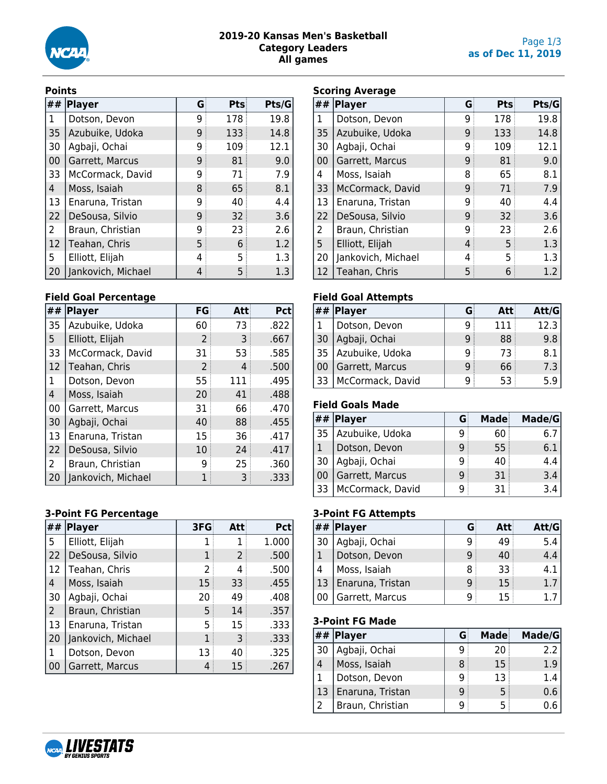

### **2019-20 Kansas Men's Basketball Category Leaders All games**

#### **Points**

| ## | <b>Player</b>      | G | Pts | Pts/G |
|----|--------------------|---|-----|-------|
| 1  | Dotson, Devon      | 9 | 178 | 19.8  |
| 35 | Azubuike, Udoka    | 9 | 133 | 14.8  |
| 30 | Agbaji, Ochai      | 9 | 109 | 12.1  |
| 00 | Garrett, Marcus    | 9 | 81  | 9.0   |
| 33 | McCormack, David   | 9 | 71  | 7.9   |
| 4  | Moss, Isaiah       | 8 | 65  | 8.1   |
| 13 | Enaruna, Tristan   | 9 | 40  | 4.4   |
| 22 | DeSousa, Silvio    | 9 | 32  | 3.6   |
| 2  | Braun, Christian   | 9 | 23  | 2.6   |
| 12 | Teahan, Chris      | 5 | 6   | 1.2   |
| 5  | Elliott, Elijah    | 4 | 5   | 1.3   |
| 20 | Jankovich, Michael | 4 | 5   | 1.3   |

### **Field Goal Percentage**

| ## | <b>Player</b>      | FG | Att | Pct  |
|----|--------------------|----|-----|------|
| 35 | Azubuike, Udoka    | 60 | 73  | .822 |
| 5  | Elliott, Elijah    | 2  | 3   | .667 |
| 33 | McCormack, David   | 31 | 53  | .585 |
| 12 | Teahan, Chris      | 2  | 4   | .500 |
| 1  | Dotson, Devon      | 55 | 111 | .495 |
| 4  | Moss, Isaiah       | 20 | 41  | .488 |
| 00 | Garrett, Marcus    | 31 | 66  | .470 |
| 30 | Agbaji, Ochai      | 40 | 88  | .455 |
| 13 | Enaruna, Tristan   | 15 | 36  | .417 |
| 22 | DeSousa, Silvio    | 10 | 24  | .417 |
| 2  | Braun, Christian   | 9  | 25  | .360 |
| 20 | Jankovich, Michael |    |     | .333 |

### **3-Point FG Percentage**

| ##             | Player             | 3FG | Att | <b>Pct</b> |
|----------------|--------------------|-----|-----|------------|
| 5              | Elliott, Elijah    | 1   |     | 1.000      |
| 22             | DeSousa, Silvio    |     | 2   | .500       |
| 12             | Teahan, Chris      | 2   | 4   | .500       |
| 4              | Moss, Isaiah       | 15  | 33  | .455       |
| 30             | Agbaji, Ochai      | 20  | 49  | .408       |
| $\overline{2}$ | Braun, Christian   | 5   | 14  | .357       |
| 13             | Enaruna, Tristan   | 5   | 15  | .333       |
| 20             | Jankovich, Michael | 1   | 3   | .333       |
| 1              | Dotson, Devon      | 13  | 40  | .325       |
| 00             | Garrett, Marcus    |     | 15  | .267       |

### **Scoring Average**

| ##             | Player             | G | Pts | Pts/G |  |  |  |  |  |  |  |
|----------------|--------------------|---|-----|-------|--|--|--|--|--|--|--|
| 1              | Dotson, Devon      | 9 | 178 | 19.8  |  |  |  |  |  |  |  |
| 35             | Azubuike, Udoka    | 9 | 133 | 14.8  |  |  |  |  |  |  |  |
| 30             | Agbaji, Ochai      | 9 | 109 | 12.1  |  |  |  |  |  |  |  |
| 00             | Garrett, Marcus    | 9 | 81  | 9.0   |  |  |  |  |  |  |  |
| 4              | Moss, Isaiah       | 8 | 65  | 8.1   |  |  |  |  |  |  |  |
| 33             | McCormack, David   | 9 | 71  | 7.9   |  |  |  |  |  |  |  |
| 13             | Enaruna, Tristan   | 9 | 40  | 4.4   |  |  |  |  |  |  |  |
| 22             | DeSousa, Silvio    | 9 | 32  | 3.6   |  |  |  |  |  |  |  |
| $\overline{2}$ | Braun, Christian   | 9 | 23  | 2.6   |  |  |  |  |  |  |  |
| 5              | Elliott, Elijah    | 4 | 5   | 1.3   |  |  |  |  |  |  |  |
| 20             | Jankovich, Michael | 4 | 5   | 1.3   |  |  |  |  |  |  |  |
| 12             | Teahan, Chris      | 5 | 6   | 1.2   |  |  |  |  |  |  |  |

# **Field Goal Attempts**

|      | $##$ Player      |   | Att | Att/G |
|------|------------------|---|-----|-------|
|      | Dotson, Devon    | q | 111 | 12.3  |
| 30   | Agbaji, Ochai    | g | 88  | 9.8   |
| (35) | Azubuike, Udoka  | q | 73  | 8.1   |
| 00   | Garrett, Marcus  | q | 66  | 7.3   |
| 33   | McCormack, David | Q | 53  | 5.9   |

# **Field Goals Made**

| ## | Player           |   | Made | Made/G |
|----|------------------|---|------|--------|
| 35 | Azubuike, Udoka  | q | 60   | b.     |
|    | Dotson, Devon    | 9 | 55   | 6.1    |
| 30 | Agbaji, Ochai    | 9 | 40   | 4.4    |
| 00 | Garrett, Marcus  | 9 | 31   | 3.4    |
| 33 | McCormack, David | q | 31   | 3.4    |

### **3-Point FG Attempts**

|    | ##  Player       |   | Att | Att/G |
|----|------------------|---|-----|-------|
| 30 | Agbaji, Ochai    |   | 49  | 5.4   |
|    | Dotson, Devon    | q | 40  | 4.4   |
| 4  | Moss, Isaiah     |   | 33  | 4.1   |
| 13 | Enaruna, Tristan | q | 15  | 1.7   |
|    | Garrett, Marcus  | q |     |       |

# **3-Point FG Made**

|                | $##$ Player      |   | Made | Made/G |
|----------------|------------------|---|------|--------|
| 30             | Agbaji, Ochai    | q | 20   | 2.2    |
| $\overline{4}$ | Moss, Isaiah     | 8 | 15   | 1.9    |
|                | Dotson, Devon    | 9 | 13   | 1.4    |
| 13             | Enaruna, Tristan | 9 | 5    | 0.6    |
|                | Braun, Christian | q | 5    |        |

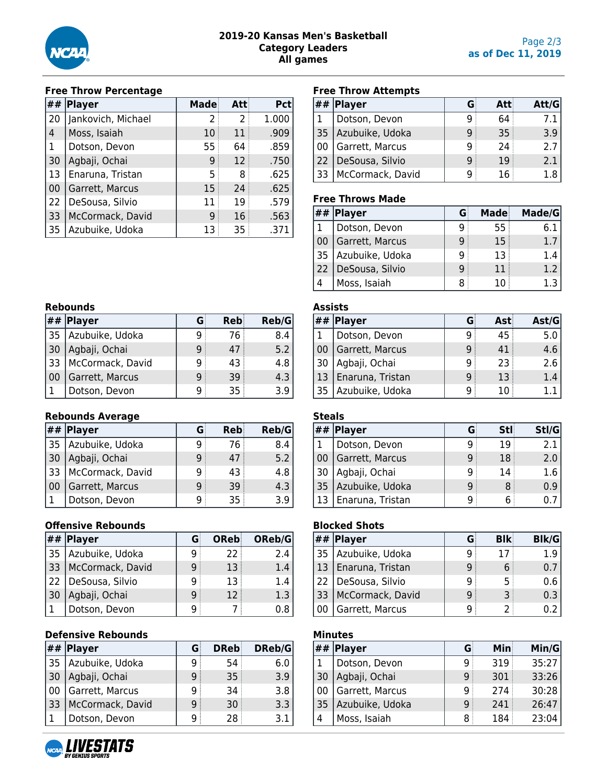

### **Free Throw Percentage**

| ## | Player             | Made | Att | <b>Pct</b> |
|----|--------------------|------|-----|------------|
| 20 | Jankovich, Michael | 2    | 2   | 1.000      |
| 4  | Moss, Isaiah       | 10   | 11  | .909       |
| 1  | Dotson, Devon      | 55   | 64  | .859       |
| 30 | Agbaji, Ochai      | 9    | 12  | .750       |
| 13 | Enaruna, Tristan   | 5    | 8   | .625       |
| 00 | Garrett, Marcus    | 15   | 24  | .625       |
| 22 | DeSousa, Silvio    | 11   | 19  | .579       |
| 33 | McCormack, David   | 9    | 16  | .563       |
| 35 | Azubuike, Udoka    | 13   | 35  | .371       |

# **Free Throw Attempts**

| ## | <b>Player</b>    |   | Att | Att/G |
|----|------------------|---|-----|-------|
|    | Dotson, Devon    |   | 64  |       |
| 35 | Azubuike, Udoka  | q | 35  | 3.9   |
| 00 | Garrett, Marcus  | q | 24  | 2.7   |
| 22 | DeSousa, Silvio  | q | 19  | 2.1   |
| 33 | McCormack, David |   | 16  |       |

#### **Free Throws Made**

|     | ##  Player      |   | Made | Made/G |
|-----|-----------------|---|------|--------|
|     | Dotson, Devon   | q | 55:  | ნ.:    |
| -00 | Garrett, Marcus | q | 15   | 1.7    |
| 35  | Azubuike, Udoka | 9 | 13   | 1.4    |
| 22  | DeSousa, Silvio | 9 | 11   | 1.2    |
|     | Moss, Isaiah    | 8 | 10   | 1.3    |

|            | <b>Rebounds</b>  |   |     |       |  |
|------------|------------------|---|-----|-------|--|
|            | $##$ Player      | G | Reb | Reb/G |  |
| 35         | Azubuike, Udoka  | q | 76  | 8.4   |  |
| $\vert$ 30 | Agbaji, Ochai    | 9 | 47  | 5.2   |  |
| 33         | McCormack, David | q | 43  | 4.8   |  |
| 00         | Garrett, Marcus  | 9 | 39  | 4.3   |  |
|            | Dotson, Devon    | q | 35  | 3.9   |  |

### **Rebounds Average**

|      | $##$ Player      |   | Reb | Reb/G |
|------|------------------|---|-----|-------|
| 35 ا | Azubuike, Udoka  | q | 76  | 8.4   |
| 30   | Agbaji, Ochai    | q | 47  | 5.2   |
| 33   | McCormack, David | q | 43  | 4.8   |
| 00   | Garrett, Marcus  | q | 39  | 4.3   |
|      | Dotson, Devon    |   | 35  | 3.9   |

### **Offensive Rebounds**

| ##              | Player           | G | OReb | OReb/G |
|-----------------|------------------|---|------|--------|
| 35              | Azubuike, Udoka  | g | 22   | 2.4    |
| 33              | McCormack, David | 9 | 13   | 1.4    |
| 22 <sup>2</sup> | DeSousa, Silvio  | q | 13   | 1.4    |
| -30             | Agbaji, Ochai    | 9 | 12   | 1.3    |
|                 | Dotson, Devon    | q |      |        |

### **Defensive Rebounds**

|     | $##$ Player      | G | <b>DReb</b> | DReb/G |
|-----|------------------|---|-------------|--------|
| 35  | Azubuike, Udoka  | q | 54          | 6.0    |
| -30 | Agbaji, Ochai    | 9 | 35          | 3.9    |
| -00 | Garrett, Marcus  | 9 | 34          | 3.8    |
| 33  | McCormack, David | 9 | 30          | 3.3    |
|     | Dotson, Devon    | q | 28          | 3.1    |

# **Assists**

|                 | $#H$ Player      |   | Ast | $\textsf{Ast}/\textsf{G}$ |
|-----------------|------------------|---|-----|---------------------------|
|                 | Dotson, Devon    | q | 45  | 5.0                       |
| $\overline{00}$ | Garrett, Marcus  | g | 41  | 4.6                       |
| 30              | Agbaji, Ochai    | q | 23  | 2.6                       |
| 13              | Enaruna, Tristan | q | 13  | 1.4                       |
| 35              | Azubuike, Udoka  | q | 10  |                           |

|              | <b>Steals</b>    |   |            |       |
|--------------|------------------|---|------------|-------|
| ##           | Player           | G | <b>Stl</b> | Stl/G |
| $\mathbf{1}$ | Dotson, Devon    | q | 19         | 2.1   |
| 00           | Garrett, Marcus  | q | 18         | 2.0   |
| 30           | Agbaji, Ochai    | q | 14         | 1.6   |
| 35           | Azubuike, Udoka  | q | 8          | 0.9   |
| 13           | Enaruna, Tristan |   |            |       |

### **Blocked Shots**

|    | $\left  \# \# \right $ Player |   | <b>BIK</b> | <b>Blk/G</b> |
|----|-------------------------------|---|------------|--------------|
| 35 | Azubuike, Udoka               |   |            | 1 Q          |
| 13 | Enaruna, Tristan              | g |            |              |
| 22 | DeSousa, Silvio               |   | 5          | 0.6          |
| 33 | McCormack, David              | q |            | 0.3          |
|    | Garrett, Marcus               |   |            |              |

### **Minutes**

| ##   | Player          | G | Min | Min/G |
|------|-----------------|---|-----|-------|
| . 1. | Dotson, Devon   | g | 319 | 35:27 |
| 30   | Agbaji, Ochai   | 9 | 301 | 33:26 |
| 00   | Garrett, Marcus | q | 274 | 30:28 |
| 35   | Azubuike, Udoka | 9 | 241 | 26:47 |
| 4    | Moss, Isaiah    | 8 | 184 | 23:04 |

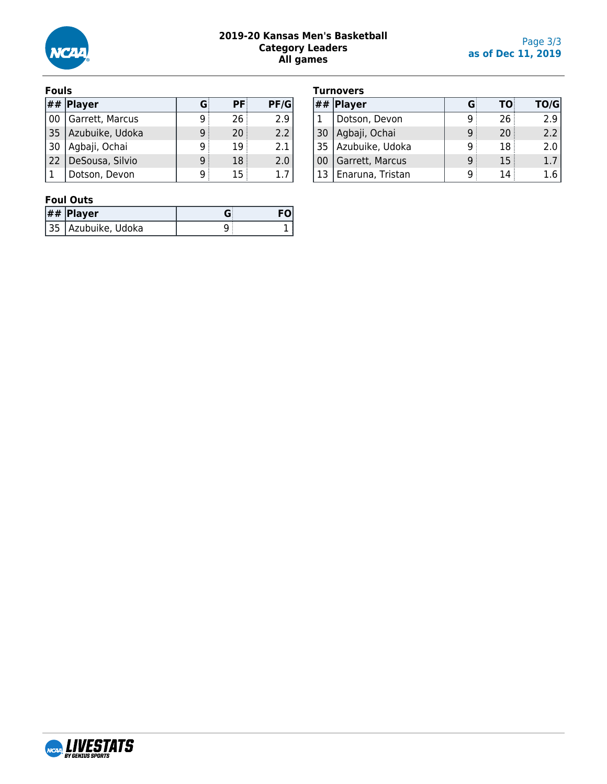

### **2019-20 Kansas Men's Basketball Category Leaders All games**

#### **Fouls**

|              | $\left  \# \# \right $ Player |   | РF | PF/G |
|--------------|-------------------------------|---|----|------|
| l 00         | Garrett, Marcus               | g | 26 | 2.9  |
| 35           | Azubuike, Udoka               | q | 20 | 2.2  |
| 30           | Agbaji, Ochai                 | q | 19 | 2.1  |
| $ 22\rangle$ | DeSousa, Silvio               | g | 18 | 2.0  |
|              | Dotson, Devon                 | a |    |      |

| <b>Turnovers</b> |  |
|------------------|--|

|      | , umovci 5       |    |           |      |
|------|------------------|----|-----------|------|
| ##   | <b>Player</b>    | G: | <b>TO</b> | TO/G |
|      | Dotson, Devon    |    | 26        | 2.9  |
| 30   | Agbaji, Ochai    | q  | 20        | 2.2  |
| 35 ، | Azubuike, Udoka  | q  | 18        | 2.0  |
| -00  | Garrett, Marcus  | q  | 15        | 1.7  |
| -13  | Enaruna, Tristan |    | 14        |      |

### **Foul Outs**

| $##$ Player          |  |
|----------------------|--|
| 35   Azubuike, Udoka |  |

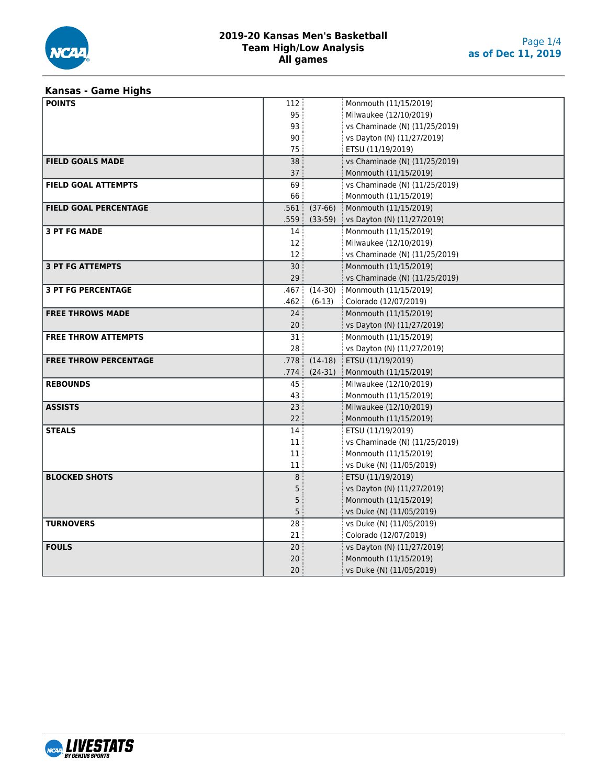

# **Kansas - Game Highs**

| <b>POINTS</b>                | 112               |           | Monmouth (11/15/2019)         |
|------------------------------|-------------------|-----------|-------------------------------|
|                              | 95                |           | Milwaukee (12/10/2019)        |
|                              | 93                |           | vs Chaminade (N) (11/25/2019) |
|                              | 90                |           | vs Dayton (N) (11/27/2019)    |
|                              | 75                |           | ETSU (11/19/2019)             |
| <b>FIELD GOALS MADE</b>      | 38                |           | vs Chaminade (N) (11/25/2019) |
|                              | 37                |           | Monmouth (11/15/2019)         |
| <b>FIELD GOAL ATTEMPTS</b>   | 69                |           | vs Chaminade (N) (11/25/2019) |
|                              | 66                |           | Monmouth (11/15/2019)         |
| <b>FIELD GOAL PERCENTAGE</b> | .561:             | $(37-66)$ | Monmouth (11/15/2019)         |
|                              | .559              | $(33-59)$ | vs Dayton (N) (11/27/2019)    |
| <b>3 PT FG MADE</b>          | 14                |           | Monmouth (11/15/2019)         |
|                              | $12 \overline{ }$ |           | Milwaukee (12/10/2019)        |
|                              | $12 \overline{ }$ |           | vs Chaminade (N) (11/25/2019) |
| <b>3 PT FG ATTEMPTS</b>      | 30                |           | Monmouth (11/15/2019)         |
|                              | 29                |           | vs Chaminade (N) (11/25/2019) |
| <b>3 PT FG PERCENTAGE</b>    | .467 :            | $(14-30)$ | Monmouth (11/15/2019)         |
|                              | .462              | $(6-13)$  | Colorado (12/07/2019)         |
| <b>FREE THROWS MADE</b>      | 24                |           | Monmouth (11/15/2019)         |
|                              | 20                |           | vs Dayton (N) (11/27/2019)    |
| <b>FREE THROW ATTEMPTS</b>   | 31                |           | Monmouth (11/15/2019)         |
|                              | 28                |           | vs Dayton (N) (11/27/2019)    |
| <b>FREE THROW PERCENTAGE</b> | .778              | $(14-18)$ | ETSU (11/19/2019)             |
|                              | .774 i            | $(24-31)$ | Monmouth (11/15/2019)         |
| <b>REBOUNDS</b>              | 45                |           | Milwaukee (12/10/2019)        |
|                              | 43                |           | Monmouth (11/15/2019)         |
| <b>ASSISTS</b>               | 23                |           | Milwaukee (12/10/2019)        |
|                              | 22                |           | Monmouth (11/15/2019)         |
| <b>STEALS</b>                | 14                |           | ETSU (11/19/2019)             |
|                              | 11                |           | vs Chaminade (N) (11/25/2019) |
|                              | 11                |           | Monmouth (11/15/2019)         |
|                              | 11                |           | vs Duke (N) (11/05/2019)      |
| <b>BLOCKED SHOTS</b>         | 8                 |           | ETSU (11/19/2019)             |
|                              | 5                 |           | vs Dayton (N) (11/27/2019)    |
|                              | 5                 |           | Monmouth (11/15/2019)         |
|                              | 5                 |           | vs Duke (N) (11/05/2019)      |
| <b>TURNOVERS</b>             | 28                |           | vs Duke (N) (11/05/2019)      |
|                              | 21                |           | Colorado (12/07/2019)         |
| <b>FOULS</b>                 | 20                |           | vs Dayton (N) (11/27/2019)    |
|                              | $20\,$            |           | Monmouth (11/15/2019)         |
|                              | 20                |           | vs Duke (N) (11/05/2019)      |

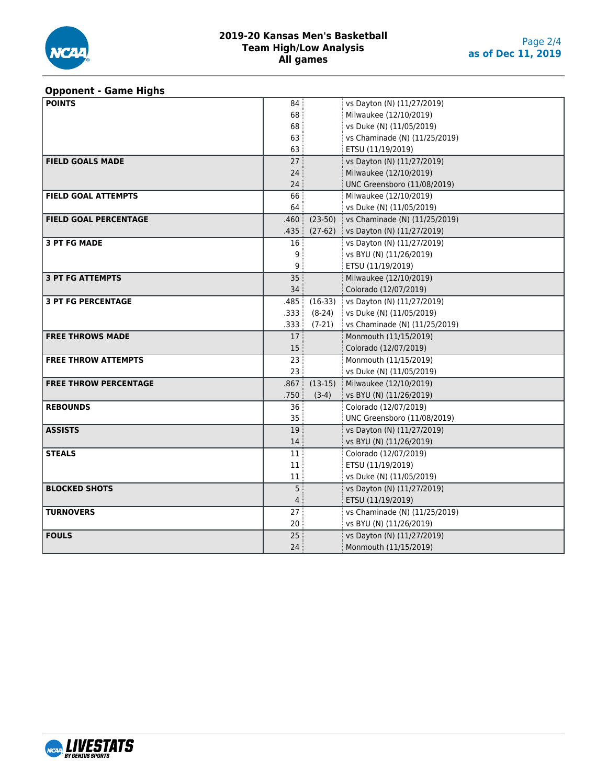

# **Opponent - Game Highs**

| <b>POINTS</b>                | 84              |                | vs Dayton (N) (11/27/2019)    |
|------------------------------|-----------------|----------------|-------------------------------|
|                              | 68              |                | Milwaukee (12/10/2019)        |
|                              | 68              |                | vs Duke (N) (11/05/2019)      |
|                              | 63              |                | vs Chaminade (N) (11/25/2019) |
|                              | 63              |                | ETSU (11/19/2019)             |
| <b>FIELD GOALS MADE</b>      | 27              |                | vs Dayton (N) (11/27/2019)    |
|                              | 24              |                | Milwaukee (12/10/2019)        |
|                              | 24              |                | UNC Greensboro (11/08/2019)   |
| <b>FIELD GOAL ATTEMPTS</b>   | 66              |                | Milwaukee (12/10/2019)        |
|                              | 64              |                | vs Duke (N) (11/05/2019)      |
| <b>FIELD GOAL PERCENTAGE</b> | .460            | $(23-50)$      | vs Chaminade (N) (11/25/2019) |
|                              | .435            | $(27-62)$      | vs Dayton (N) (11/27/2019)    |
| <b>3 PT FG MADE</b>          | 16              |                | vs Dayton (N) (11/27/2019)    |
|                              | 9               |                | vs BYU (N) (11/26/2019)       |
|                              | 9               |                | ETSU (11/19/2019)             |
| <b>3 PT FG ATTEMPTS</b>      | 35              |                | Milwaukee (12/10/2019)        |
|                              | 34              |                | Colorado (12/07/2019)         |
| <b>3 PT FG PERCENTAGE</b>    |                 | $.485$ (16-33) | vs Dayton (N) (11/27/2019)    |
|                              | .333            | $(8-24)$       | vs Duke (N) (11/05/2019)      |
|                              | .333            | $(7-21)$       | vs Chaminade (N) (11/25/2019) |
| <b>FREE THROWS MADE</b>      | 17:             |                | Monmouth (11/15/2019)         |
|                              | 15 <sup>5</sup> |                | Colorado (12/07/2019)         |
| <b>FREE THROW ATTEMPTS</b>   | 23              |                | Monmouth (11/15/2019)         |
|                              | 23              |                | vs Duke (N) (11/05/2019)      |
| <b>FREE THROW PERCENTAGE</b> | .867            | $(13-15)$      | Milwaukee (12/10/2019)        |
|                              | .750            | $(3-4)$        | vs BYU (N) (11/26/2019)       |
| <b>REBOUNDS</b>              | 36              |                | Colorado (12/07/2019)         |
|                              | 35              |                | UNC Greensboro (11/08/2019)   |
| <b>ASSISTS</b>               | 19              |                | vs Dayton (N) (11/27/2019)    |
|                              | 14              |                | vs BYU (N) (11/26/2019)       |
| <b>STEALS</b>                | 11              |                | Colorado (12/07/2019)         |
|                              | 11              |                | ETSU (11/19/2019)             |
|                              | 11              |                | vs Duke (N) (11/05/2019)      |
| <b>BLOCKED SHOTS</b>         | 5 <sup>3</sup>  |                | vs Dayton (N) (11/27/2019)    |
|                              | 4               |                | ETSU (11/19/2019)             |
| <b>TURNOVERS</b>             | 27              |                | vs Chaminade (N) (11/25/2019) |
|                              | 20              |                | vs BYU (N) (11/26/2019)       |
| <b>FOULS</b>                 | 25              |                | vs Dayton (N) (11/27/2019)    |
|                              | 24              |                | Monmouth (11/15/2019)         |

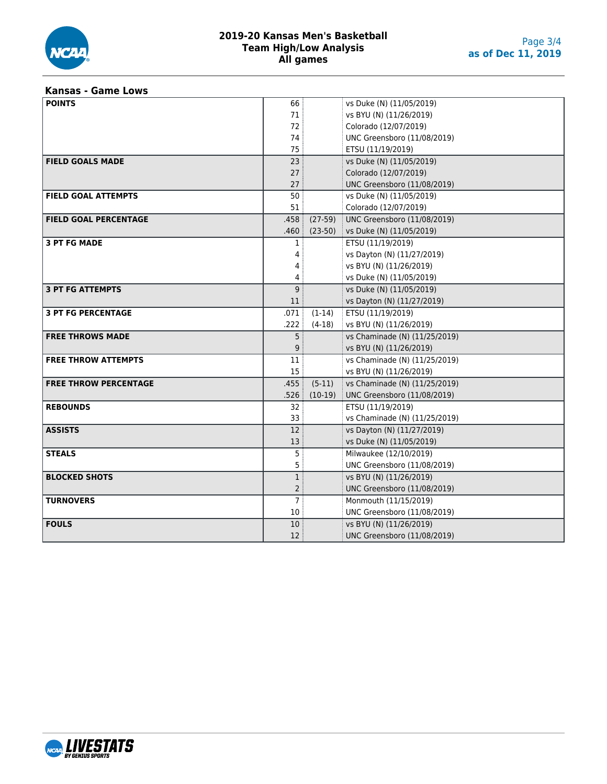

### **Kansas - Game Lows**

| <b>POINTS</b>                | 66               |           | vs Duke (N) (11/05/2019)      |
|------------------------------|------------------|-----------|-------------------------------|
|                              | 71               |           | vs BYU (N) (11/26/2019)       |
|                              | 72               |           | Colorado (12/07/2019)         |
|                              | 74               |           | UNC Greensboro (11/08/2019)   |
|                              | 75               |           | ETSU (11/19/2019)             |
| <b>FIELD GOALS MADE</b>      | 23               |           | vs Duke (N) (11/05/2019)      |
|                              | 27               |           | Colorado (12/07/2019)         |
|                              | 27               |           | UNC Greensboro (11/08/2019)   |
| <b>FIELD GOAL ATTEMPTS</b>   | 50               |           | vs Duke (N) (11/05/2019)      |
|                              | 51               |           | Colorado (12/07/2019)         |
| <b>FIELD GOAL PERCENTAGE</b> | .458:            | $(27-59)$ | UNC Greensboro (11/08/2019)   |
|                              | .460:            | $(23-50)$ | vs Duke (N) (11/05/2019)      |
| <b>3 PT FG MADE</b>          | $\mathbf{1}$     |           | ETSU (11/19/2019)             |
|                              | 4                |           | vs Dayton (N) (11/27/2019)    |
|                              | 4                |           | vs BYU (N) (11/26/2019)       |
|                              | 4                |           | vs Duke (N) (11/05/2019)      |
| <b>3 PT FG ATTEMPTS</b>      | 9 <sup>1</sup>   |           | vs Duke (N) (11/05/2019)      |
|                              | 11               |           | vs Dayton (N) (11/27/2019)    |
| <b>3 PT FG PERCENTAGE</b>    | .071             | $(1-14)$  | ETSU (11/19/2019)             |
|                              | .222             | $(4-18)$  | vs BYU (N) (11/26/2019)       |
| <b>FREE THROWS MADE</b>      | 5 <sup>1</sup>   |           | vs Chaminade (N) (11/25/2019) |
|                              | 9                |           | vs BYU (N) (11/26/2019)       |
| <b>FREE THROW ATTEMPTS</b>   | 11               |           | vs Chaminade (N) (11/25/2019) |
|                              | 15 <sub>15</sub> |           | vs BYU (N) (11/26/2019)       |
| <b>FREE THROW PERCENTAGE</b> | .455             | $(5-11)$  | vs Chaminade (N) (11/25/2019) |
|                              | .526             | $(10-19)$ | UNC Greensboro (11/08/2019)   |
| <b>REBOUNDS</b>              | 32 <sup>°</sup>  |           | ETSU (11/19/2019)             |
|                              | 33               |           | vs Chaminade (N) (11/25/2019) |
| <b>ASSISTS</b>               | 12               |           | vs Dayton (N) (11/27/2019)    |
|                              | 13               |           | vs Duke (N) (11/05/2019)      |
| <b>STEALS</b>                | 5 <sup>3</sup>   |           | Milwaukee (12/10/2019)        |
|                              | 5 <sup>1</sup>   |           | UNC Greensboro (11/08/2019)   |
| <b>BLOCKED SHOTS</b>         | 1 <sup>3</sup>   |           | vs BYU (N) (11/26/2019)       |
|                              | 2 <sup>3</sup>   |           | UNC Greensboro (11/08/2019)   |
| <b>TURNOVERS</b>             | 7:               |           | Monmouth (11/15/2019)         |
|                              | $10\,$           |           | UNC Greensboro (11/08/2019)   |
| <b>FOULS</b>                 | 10 <sup>°</sup>  |           | vs BYU (N) (11/26/2019)       |
|                              | 12 <sup>2</sup>  |           | UNC Greensboro (11/08/2019)   |

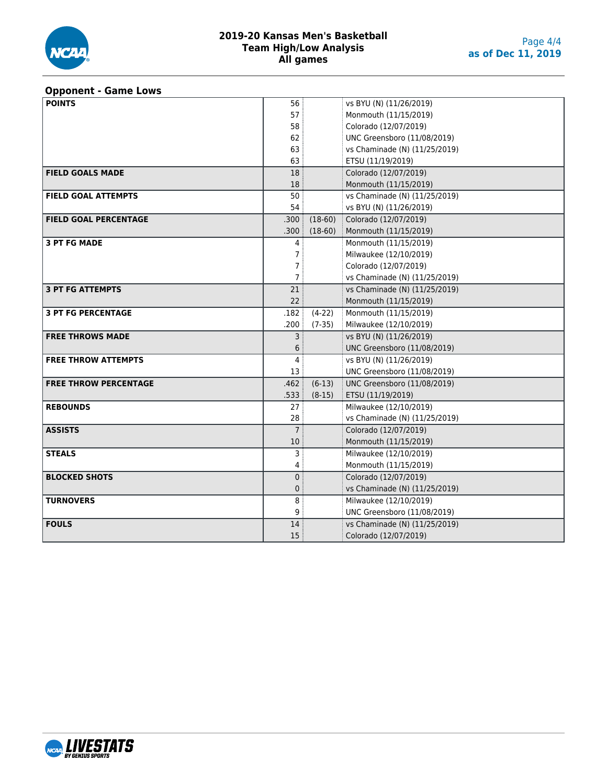

#### **Opponent - Game Lows**

| <b>POINTS</b>                | 56              |           | vs BYU (N) (11/26/2019)       |
|------------------------------|-----------------|-----------|-------------------------------|
|                              | 57              |           | Monmouth (11/15/2019)         |
|                              | 58              |           | Colorado (12/07/2019)         |
|                              | 62              |           | UNC Greensboro (11/08/2019)   |
|                              | 63              |           | vs Chaminade (N) (11/25/2019) |
|                              | 63              |           | ETSU (11/19/2019)             |
| <b>FIELD GOALS MADE</b>      | 18              |           | Colorado (12/07/2019)         |
|                              | 18              |           | Monmouth (11/15/2019)         |
| <b>FIELD GOAL ATTEMPTS</b>   | 50 <sup>3</sup> |           | vs Chaminade (N) (11/25/2019) |
|                              | 54              |           | vs BYU (N) (11/26/2019)       |
| <b>FIELD GOAL PERCENTAGE</b> | .300:           | $(18-60)$ | Colorado (12/07/2019)         |
|                              | .300:           | $(18-60)$ | Monmouth (11/15/2019)         |
| <b>3 PT FG MADE</b>          | 4               |           | Monmouth (11/15/2019)         |
|                              | 7 <sup>1</sup>  |           | Milwaukee (12/10/2019)        |
|                              | 7               |           | Colorado (12/07/2019)         |
|                              | 7 <sup>1</sup>  |           | vs Chaminade (N) (11/25/2019) |
| <b>3 PT FG ATTEMPTS</b>      | 21              |           | vs Chaminade (N) (11/25/2019) |
|                              | 22              |           | Monmouth (11/15/2019)         |
| <b>3 PT FG PERCENTAGE</b>    | .182:           | $(4-22)$  | Monmouth (11/15/2019)         |
|                              | : 200.          | $(7-35)$  | Milwaukee (12/10/2019)        |
| <b>FREE THROWS MADE</b>      | 3 <sup>3</sup>  |           | vs BYU (N) (11/26/2019)       |
|                              | 6               |           | UNC Greensboro (11/08/2019)   |
| <b>FREE THROW ATTEMPTS</b>   | $\overline{4}$  |           | vs BYU (N) (11/26/2019)       |
|                              | 13              |           | UNC Greensboro (11/08/2019)   |
| <b>FREE THROW PERCENTAGE</b> | .462            | $(6-13)$  | UNC Greensboro (11/08/2019)   |
|                              | .533            | $(8-15)$  | ETSU (11/19/2019)             |
| <b>REBOUNDS</b>              | 27:             |           | Milwaukee (12/10/2019)        |
|                              | 28              |           | vs Chaminade (N) (11/25/2019) |
| <b>ASSISTS</b>               | 7 <sup>1</sup>  |           | Colorado (12/07/2019)         |
|                              | 10 <sup>°</sup> |           | Monmouth (11/15/2019)         |
| <b>STEALS</b>                | 3 <sup>3</sup>  |           | Milwaukee (12/10/2019)        |
|                              | 4               |           | Monmouth (11/15/2019)         |
| <b>BLOCKED SHOTS</b>         | $\mathbf{0}$    |           | Colorado (12/07/2019)         |
|                              | 0               |           | vs Chaminade (N) (11/25/2019) |
| <b>TURNOVERS</b>             | 8               |           | Milwaukee (12/10/2019)        |
|                              | 9 <sup>1</sup>  |           | UNC Greensboro (11/08/2019)   |
| <b>FOULS</b>                 | 14              |           | vs Chaminade (N) (11/25/2019) |
|                              | 15              |           | Colorado (12/07/2019)         |

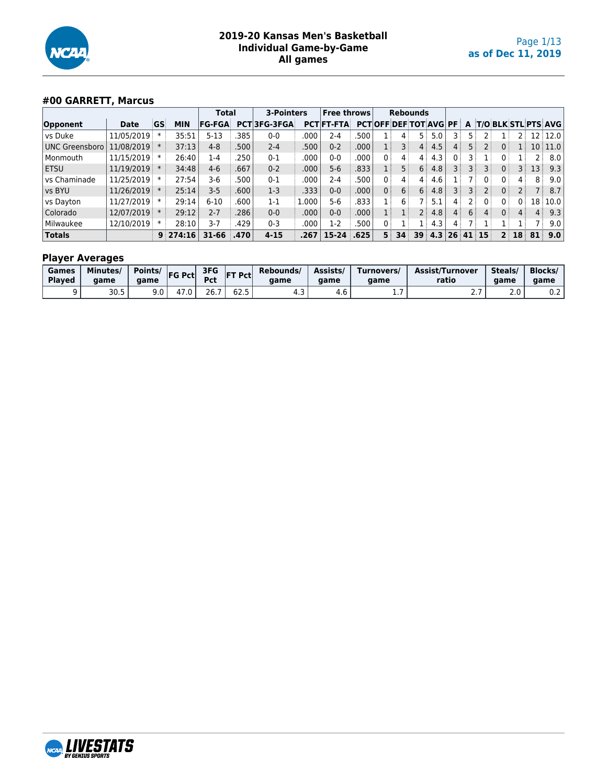

# **#00 GARRETT, Marcus**

|                       |                | <b>3-Pointers</b><br><b>Total</b> |            | <b>Free throws</b> | <b>Rebounds</b> |             |       |                   |      |                |                              |                 |     |                |     |          |                      |                 |                 |                       |
|-----------------------|----------------|-----------------------------------|------------|--------------------|-----------------|-------------|-------|-------------------|------|----------------|------------------------------|-----------------|-----|----------------|-----|----------|----------------------|-----------------|-----------------|-----------------------|
| Opponent              | Date           | GS                                | <b>MIN</b> | <b>FG-FGA</b>      |                 | PCT3FG-3FGA |       | <b>PCT FT-FTA</b> |      |                | <b>PCTOFF DEF TOT AVG PF</b> |                 |     |                |     |          |                      |                 |                 | A T/O BLK STL PTS AVG |
| vs Duke               | 11/05/2019     |                                   | 35:51      | $5 - 13$           | .385            | $0 - 0$     | 000   | 2-4               | 500  |                |                              | 5:              | 5.0 |                | 5 : |          |                      |                 |                 | 12 12.0               |
| <b>UNC Greensboro</b> | 11/08/2019     |                                   | 37:13      | $4 - 8$            | .500            | $2 - 4$     | .500  | $0 - 2$           | .000 |                | 3 <sup>1</sup>               | 4:              | 4.5 | 4              | 5 : |          | 0                    |                 |                 | 10 11.0               |
| Monmouth              | 11/15/2019     |                                   | 26:40      | 1-4                | 250             | $0 - 1$     | .000  | $0 - 0$           | .000 | 0              | 4                            | 4               | 4.3 | 0              |     |          |                      |                 |                 | 8.0                   |
| ETSU                  | 11/19/2019     |                                   | 34:48      | $4-6$              | .667            | $0 - 2$     | .000  | $5 - 6$           | .833 |                | 5:                           | 6 <sup>1</sup>  | 4.8 | 3              | 3 : |          | $\mathbf{0}$         | 3               | 13 <sup>1</sup> | 9.3                   |
| vs Chaminade          | 11/25/2019     |                                   | 27:54      | 3-6                | 500             | $0 - 1$     | 000   | 2-4               | .500 | $0^{\circ}$    | $\overline{4}$               | $\overline{4}$  | 4.6 |                |     | 0 :      | $\mathbf{0}$         | $4^{\circ}$     | 8               | 9.0                   |
| vs BYU                | $11/26/2019$ * |                                   | 25:14      | $3 - 5$            | .600            | $1-3$       | 333.  | $0 - 0$           | .000 | 0              | 6                            | 6 <sup>1</sup>  | 4.8 | 3              | 3:  |          | $\mathbf{0}$         |                 |                 | 8.7                   |
| vs Dayton             | 11/27/2019     |                                   | 29:14      | $6 - 10$           | .600            | $1 - 1$     | 1.000 | $5 - 6$           | .833 |                | 6                            |                 | 5.1 | $\mathbf{4}$   |     | 0        | 0                    | 0 <sup>1</sup>  | 18              | 10.0                  |
| Colorado              | 12/07/2019     |                                   | 29:12      | $2 - 7$            | .286            | $0-0$       | .000  | $0 - 0$           | .000 |                |                              | 2 <sup>1</sup>  | 4.8 | $\overline{4}$ | 6:  |          | 0:                   | 4               | 4:              | 9.3                   |
| Milwaukee             | 12/10/2019     |                                   | 28:10      | $3-7$              | .429            | $0 - 3$     | .000  | $1-2$             | .500 | 0              |                              |                 | 4.3 | $4^+$          |     |          |                      |                 |                 | 9.0                   |
| <b>Totals</b>         |                |                                   | 9:274:16   | 31-66              | .470            | $4 - 15$    | .267  | $15 - 24$         | .625 | 5 <sup>1</sup> | 34 <sup>1</sup>              | 39 <sup>1</sup> | 4.3 |                |     | 26 41 15 | $\mathbf{P}^{\perp}$ | 18 <sup>1</sup> | 81              | 9.0                   |

| Games<br><b>Plaved</b> | Minutes/<br>aame | Points/<br>aame | <b>FG Pct</b> | 3FG<br><b>Pct</b> | Pct                   | Rebounds/<br>aame | Assists/<br>aame | Turnovers/<br>aame | <b>Assist/Turnover</b><br>ratio | Steals/<br>aame      | <b>Blocks/</b><br>aame |
|------------------------|------------------|-----------------|---------------|-------------------|-----------------------|-------------------|------------------|--------------------|---------------------------------|----------------------|------------------------|
|                        | 30.5             | 9.0             | 4             | 26.7              | $\sim$ $\sim$<br>כ.∠ס | ن.                | 4.b              | . .                | <u>. . 1</u>                    | $\sim$ $\sim$<br>z.u | v.z                    |

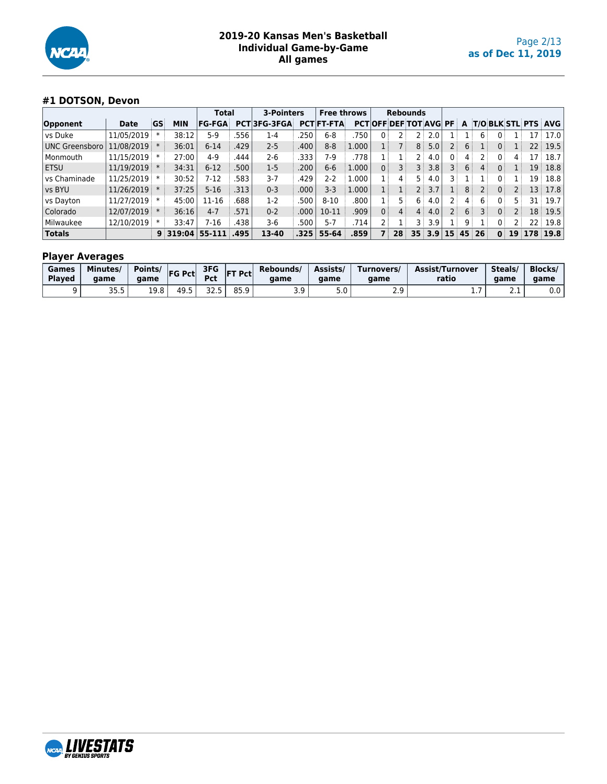

# **#1 DOTSON, Devon**

|                       |                | <b>Total</b> |                               | 3-Pointers    |      | <b>Free throws</b> |      | <b>Rebounds</b>   |       |                                |                 |         |             |                |                |       |                |                 |                            |
|-----------------------|----------------|--------------|-------------------------------|---------------|------|--------------------|------|-------------------|-------|--------------------------------|-----------------|---------|-------------|----------------|----------------|-------|----------------|-----------------|----------------------------|
| Opponent              | Date           | GS           | <b>MIN</b>                    | <b>FG-FGA</b> |      | PCT3FG-3FGA        |      | <b>PCTIFT-FTA</b> |       | <b>PCTIOFF DEF TOT AVGI PF</b> |                 |         |             |                | A              |       |                |                 | <b>T/O BLK STL PTS AVG</b> |
| vs Duke               | 11/05/2019     |              | 38:12                         | $5-9$         | 556  | $1-4$              | 250  | $6 - 8$           | 750   |                                |                 |         | 2.0         |                |                | 6     |                | 17              | 17.0                       |
| <b>UNC Greensboro</b> | 11/08/2019     |              | 36:01                         | $6 - 14$      | 429  | $2 - 5$            | .400 | $8 - 8$           | 1.000 |                                |                 | 8 :     | 5.0         |                | 6              | 1:    | 0 <sup>1</sup> | 22 <sup>3</sup> | 19.5                       |
| Monmouth              | 11/15/2019     |              | 27:00                         | $4 - 9$       | 444  | 2-6                | .333 | 7-9               | .778  |                                |                 | 2 i     | 4.0         | 0 <sup>1</sup> | 4              |       | 0 <sup>1</sup> | 17              | 18.7                       |
| <b>ETSU</b>           | $11/19/2019$ * |              | 34:31                         | $6 - 12$      | 500  | $1-5$              | .200 | $6-6$             | 1.000 | 0:                             |                 | $3 \pm$ | 3.8         |                | 6 <sup>3</sup> | 4     | 0 <sup>1</sup> | 19              | 18.8                       |
| vs Chaminade          | 11/25/2019     |              | 30:52                         | $7 - 12$      | 583  | $3 - 7$            | 429  | 2-2               | L.000 | l :                            | 4               | 5 i     | 4.0         |                |                |       |                | 19              | 18.8                       |
| vs BYU                | 11/26/2019 *   |              | 37:25                         | $5-16$        | 313  | $0 - 3$            | .000 | $3 - 3$           | 1.000 |                                |                 | $2$ :   | 3.7         |                | 8              | 2     | 0 <sup>1</sup> | 13              | 17.8                       |
| vs Dayton             | 11/27/2019     |              | 45:00                         | $11 - 16$     | 688  | $1-2$              | 500  | $8 - 10$          | .800  |                                | 5 !             | 6 :     | 4.0         |                | 4              | 6     |                | 31              | 19.7                       |
| Colorado              | 12/07/2019     |              | 36:16                         | $4 - 7$       | 571  | $0 - 2$            | .000 | $10 - 11$         | .909  | 0 <sup>1</sup>                 | 4 <sup>1</sup>  | 4:      | 4.0         |                | 6 <sup>1</sup> | 3     | 0 <sup>1</sup> | 18 <sup>3</sup> | 19.5                       |
| Milwaukee             | 12/10/2019     |              | 33:47                         | 7-16          | .438 | 3-6                | .500 | $5-7$             | .714' |                                |                 | 3       | 3.9         | ÷              | 9              |       | $0^{\circ}$    | 22:             | 19.8                       |
| <b>Totals</b>         |                |              | $9 \overline{\smash{319:04}}$ | 55-111        | .495 | 13-40              | 325  | 55-64             | .859  |                                | 28 <sup>1</sup> |         | $35 \, 3.9$ | 15             |                | 45 26 | 0              | 19 178          | 19.8                       |

| Games<br><b>Played</b> | Minutes/<br>aame | Points/<br>aame | <b>FG Pct</b> | 3FG<br>Pct  | <b>IFT Pctl</b> | Rebounds/<br>aame | Assists<br>aame | Turnovers/<br>aame | <b>Assist/Turnover</b><br>ratio | Steals/<br>aame | <b>Blocks/</b><br>aame |
|------------------------|------------------|-----------------|---------------|-------------|-----------------|-------------------|-----------------|--------------------|---------------------------------|-----------------|------------------------|
|                        | 35.5             | 19.8            | 49.5          | ,,<br>ر . _ | 85.9            | 3.9               | J.U             | າ ຊ<br>ـ . ـ       | .                               | <u>_ . _</u>    | ა.ი                    |

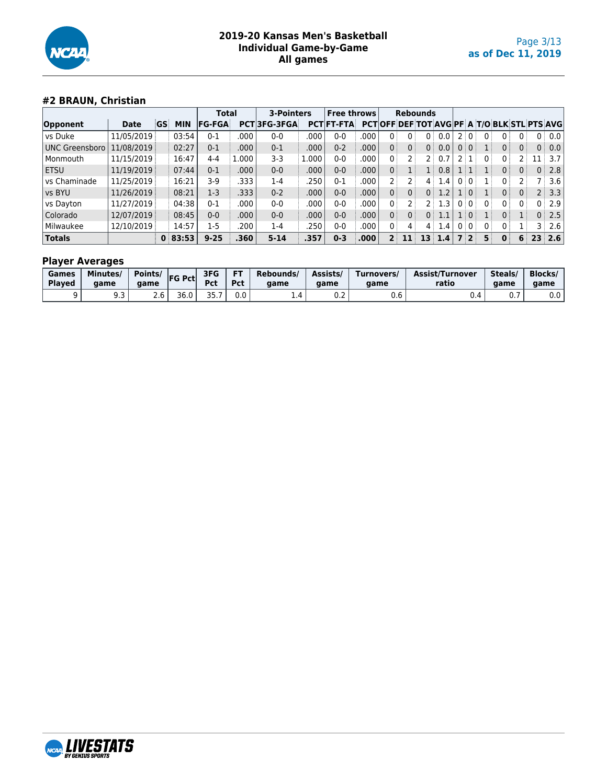

# **#2 BRAUN, Christian**

|                |            | <b>Total</b> |            | 3-Pointers    |       | <b>Free throws</b> |       | <b>Rebounds</b>   |      |                                                    |                   |                 |     |     |       |                |                |    |                |                  |
|----------------|------------|--------------|------------|---------------|-------|--------------------|-------|-------------------|------|----------------------------------------------------|-------------------|-----------------|-----|-----|-------|----------------|----------------|----|----------------|------------------|
| Opponent       | Date       | GS           | <b>MIN</b> | <b>FG-FGA</b> |       | PCT3FG-3FGA        |       | <b>PCT FT-FTA</b> |      | <b>PCTOFF DEF TOT AVGIPF A T/O BLK STL PTS AVG</b> |                   |                 |     |     |       |                |                |    |                |                  |
| vs Duke        | 11/05/2019 |              | 03:54      | $0 - 1$       | .000  | $0 - 0$            | .000  | $0 - 0$           | .000 |                                                    |                   | 0:              |     |     |       |                | 0              |    | 0:             | 0.0              |
| UNC Greensboro | 11/08/2019 |              | 02:27      | $0 - 1$       | .000  | $0 - 1$            | .000  | $0 - 2$           | .000 | 0 <sup>1</sup>                                     | 0 <sup>1</sup>    | 0 <sup>1</sup>  | 0.0 |     | 0:0:  |                | 0 <sup>1</sup> | 0: | 0:             | 0.0              |
| Monmouth       | 11/15/2019 |              | 16:47      | 4-4           | 1.000 | $3-3$              | L.000 | $0-0$             | .000 | 0                                                  |                   |                 | 0.7 |     | ' i T | 0              | 0:             |    |                | 3.7              |
| <b>ETSU</b>    | 11/19/2019 |              | 07:44      | $0 - 1$       | .000  | $0 - 0$            | .000  | $0 - 0$           | .000 | 0 <sup>1</sup>                                     |                   |                 | 0.8 | 1:1 |       |                | 0 <sup>1</sup> | 0: | 0 <sup>1</sup> | 2.8              |
| vs Chaminade   | 11/25/2019 |              | 16:21      | $3-9$         | .333  | 1-4                | .250  | $0 - 1$           | .000 |                                                    |                   | $4^{\circ}$     | 1.4 |     | 0:0:  |                | 0              |    |                | 3.6              |
| vs BYU         | 11/26/2019 |              | 08:21      | $1-3$         | .333  | $0 - 2$            | .000  | $0 - 0$           | .000 | 0 <sup>3</sup>                                     | 0:                | 0               | 1.2 |     | 1:0   |                | 0              | 0: | 2              | 3.3              |
| vs Dayton      | 11/27/2019 |              | 04:38      | $0 - 1$       | .000  | $0-0$              | .000  | $0 - 0$           | .000 | 0                                                  |                   | フミ              | 1.3 |     | 0:0:  | 0:             | 0 <sup>1</sup> | 0  | 0              | 2.9              |
| Colorado       | 12/07/2019 |              | 08:45      | $0 - 0$       | .000  | $0-0$              | .000  | $0 - 0$           | .000 | 0 <sup>3</sup>                                     | $0^{\frac{1}{2}}$ | 0 <sup>1</sup>  | 1.1 |     | 1 0   |                | 0 <sup>1</sup> |    | 0              | 2.5              |
| Milwaukee      | 12/10/2019 |              | 14:57      | $1-5$         | .200  | 1-4                | .250  | 0-0               | .000 | 0                                                  | 4                 | 4               | 1.4 |     | 0:0:  | 0 <sup>1</sup> | 0:             |    | 3              | 2.6              |
| <b>Totals</b>  |            |              | 0:83:53    | $9 - 25$      | .360  | $5 - 14$           | .357  | $0 - 3$           | .000 | $2^+$                                              | 11                | 13 <sup>1</sup> | 1.4 |     | 7 2   | 5              | $\mathbf{0}$   | 6  | 23             | $\overline{2.6}$ |

| Games         | Minutes/ | Points/ | <b>FG Pct</b> | 3FG        | <b>FT</b> | Rebounds/ | Assists/ | Turnovers/ | Assist/Turnover | Steals/ | <b>Blocks</b> |
|---------------|----------|---------|---------------|------------|-----------|-----------|----------|------------|-----------------|---------|---------------|
| <b>Played</b> | qame     | aame    |               | <b>Pct</b> | Pct       | aame      | aame     | game       | ratio           | aame    | game          |
|               | ر. ر     | Z.U     | 36.0          | つに<br>---  | 0.0       |           | U.Z      | v.v        | ∪.⊣             | υ.      | 0.0           |

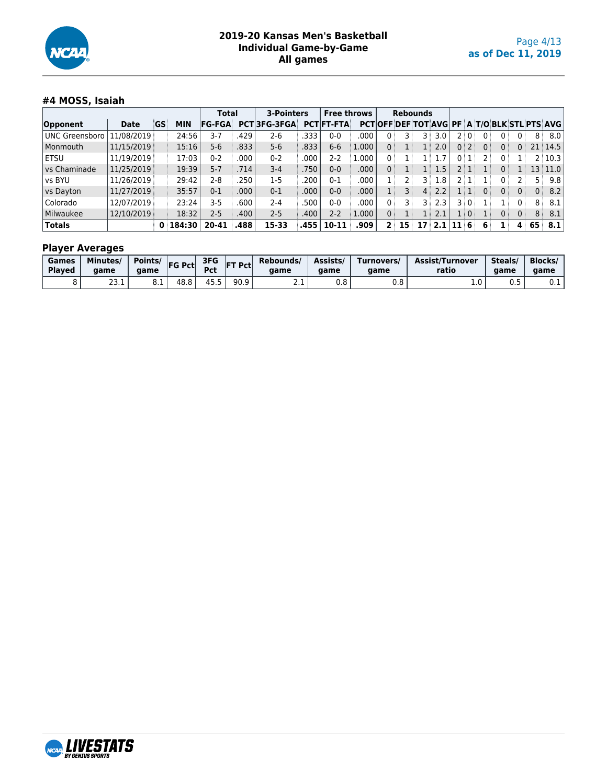

# **#4 MOSS, Isaiah**

|                       |             |    |        | Total         |       | 3-Pointers         |      | <b>Free throws</b> |       |                | <b>Rebounds</b> |                   |                  |       |   |                |                |                |     |                                              |
|-----------------------|-------------|----|--------|---------------|-------|--------------------|------|--------------------|-------|----------------|-----------------|-------------------|------------------|-------|---|----------------|----------------|----------------|-----|----------------------------------------------|
| Opponent              | <b>Date</b> | GS | MIN    | <b>FG-FGA</b> |       | <b>PCT3FG-3FGA</b> |      | <b>PCT FT-FTA</b>  |       |                |                 |                   |                  |       |   |                |                |                |     | PCT OFF DEF TOT AVG PF A T/O BLK STL PTS AVG |
| <b>UNC Greensboro</b> | 11/08/2019  |    | 24:56  | 3-7           | 429   | 2-6                | 333  | $0 - 0$            | 000   |                |                 | २ ∶               | 3.0              |       |   |                | 0              |                | 8   | 8.0                                          |
| Monmouth              | 11/15/2019  |    | 15:16  | $5-6$         | .833  | $5 - 6$            | .833 | $6-6$              | 1.000 | 0 i            |                 | $1 \pm$           | 2.0              | 0:2:  |   | 0 <sup>1</sup> | 0 <sup>1</sup> |                |     | $21 \mid 14.5 \mid$                          |
| ETSU                  | 11/19/2019  |    | 17:03  | $0 - 2$       | .000  | $0 - 2$            | .000 | 2-2                | 1.000 | 0              |                 | $1 \pm$           |                  |       |   |                | $\mathbf{0}$   |                |     | 2 10.3                                       |
| vs Chaminade          | 11/25/2019  |    | 19:39  | $5 - 7$       | .714' | $3 - 4$            | 750  | $0 - 0$            | .000' | 0              |                 | $1 \pm$           | 1.5              |       |   |                | $\mathbf{0}$   |                |     | 13 11.0                                      |
| vs BYU                | 11/26/2019  |    | 29:42  | 2-8           | 250   | $1-5$              | 200  | $0 - 1$            | 000   |                |                 | 3.                | $1.8+$           |       |   |                | 0              |                | 5 : | 9.8                                          |
| vs Dayton             | 11/27/2019  |    | 35:57  | $0 - 1$       | .000  | $0 - 1$            | .000 | $0 - 0$            | .000  |                | 3 :             | $4^{\frac{1}{2}}$ | 2.2              | 1   1 |   | 0 <sup>1</sup> | 0 <sup>1</sup> | 0 <sup>1</sup> | 0   | 8.2                                          |
| Colorado              | 12/07/2019  |    | 23:24  | 3-5           | .600  | $2 - 4$            | .500 | $0 - 0$            | 000   | 0 :            |                 | 3 :               | 2.3              |       |   |                |                |                | 8   | 8.1                                          |
| Milwaukee             | 12/10/2019  |    | 18:32  | $2 - 5$       | 400   | $2 - 5$            | .400 | $2 - 2$            | 1.000 | 0 <sup>1</sup> |                 | $1\pm$            | 2.1              | 1   0 |   |                | 0 <sup>3</sup> | 0              | 8   | 8.1                                          |
| <b>Totals</b>         |             | 0  | 184:30 | 20-41         | .488  | 15-33              | .455 | $10 - 11$          | .909  |                | 15 <sup>1</sup> | 17                | $\overline{2.1}$ |       | 6 | 6              | ${\bf 1}$ :    | 4              | 65  | 8.1                                          |

| Games         | Minutes/          | Points/ | <b>FG Pct</b> | 3FG            | T Pcti | Rebounds/ | Assists/ | Turnovers/ | <b>Assist/Turnover</b> | Steals/ | <b>Blocks/</b> |
|---------------|-------------------|---------|---------------|----------------|--------|-----------|----------|------------|------------------------|---------|----------------|
| <b>Played</b> | aame              | aame    |               | Pct            | IF1    | aame      | aame     | aame       | ratio                  | game    | qame           |
|               | $\sim$<br>2 J . 1 | 0.⊥     | 48.8          | 455<br>. J . J | 90.9   | <u>.</u>  | v.o      | v.o        | <b>L.V</b>             | U.J     | ∪.⊥            |

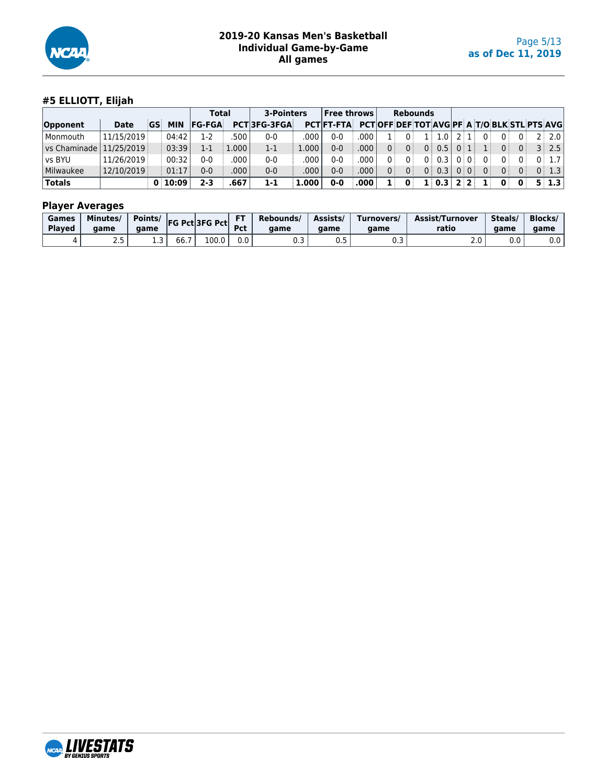

# **#5 ELLIOTT, Elijah**

|                  |             |    |            | <b>Total</b>  |          | 3-Pointers         |       | $\sf  $ Free throws $\sf  $ |      |                |                | <b>Rebounds</b>                                     |      |    |                |              |                   |
|------------------|-------------|----|------------|---------------|----------|--------------------|-------|-----------------------------|------|----------------|----------------|-----------------------------------------------------|------|----|----------------|--------------|-------------------|
| Opponent         | <b>Date</b> | GS | <b>MIN</b> | <b>FG-FGA</b> |          | <b>PCT3FG-3FGA</b> |       | <b>PCTIFT-FTA</b>           |      |                |                | <b>PCTOFF DEF TOT AVGIPF A T/O BLK STL PTS AVGI</b> |      |    |                |              |                   |
| Monmouth         | 11/15/2019  |    | 04:42      | 1-2           | 500      | $0 - 0$            | .000  | 0-0                         | .000 |                | ΩÎ             | 1.0<br>1 :                                          |      |    | 0              |              | $2 \times 2.0$    |
| l vs Chaminade l | 11/25/2019  |    | 03:39      | 1-1           | $.000$ . | $1 - 1$            | 1.000 | $0 - 0$                     | .000 | 0 <sup>1</sup> | 0 <sup>1</sup> | 0:0.5                                               | 0:1  |    | 0 <sup>1</sup> | $\Omega$     | $3$   2.5         |
| vs BYU           | 11/26/2019  |    | 00:32      | 0-0           | .000     | $0-0$              | 000   | 0-0                         | .000 | 0 :            | 0              | 0.3<br>0 :                                          | 0:0  |    | 0 <sup>1</sup> |              | 0:1.7             |
| Milwaukee        | 12/10/2019  |    | 01:17      | 0-0           | .000     | $0 - 0$            | .000  | $0 - 0$                     | .000 | 0              | $0^{\circ}$    | 0.3<br>$0^{\pm}$                                    | 0:0: | 0: | 0 <sup>1</sup> |              | 0:1.3             |
| <b>Totals</b>    |             |    | 0:10:09    | 2-3           | 667.     | 1-1                | L.000 | $0 - 0$                     | .000 |                | $\mathbf{0}$   | $1 \vert 0.3$                                       | つりつ  |    | $\mathbf{0}$   | $\mathbf{0}$ | $5 \mid 1.3 \mid$ |

| Games<br><b>Plaved</b> | <b>Minutes</b><br>aame | Points/<br>aame |                             | $\left  \mathsf{FG} \right $ Pct $\left  \mathsf{3FG} \right $ | --<br>Pct. | Rebounds/<br>aame | Assists/<br>aame | Turnovers/<br>aame | Assist/Turnover<br>ratio | Steals/<br>aame | <b>Blocks/</b><br>qame |
|------------------------|------------------------|-----------------|-----------------------------|----------------------------------------------------------------|------------|-------------------|------------------|--------------------|--------------------------|-----------------|------------------------|
|                        | ر                      | ∸ ∙ ⊸           | $\sim$ $\sim$<br><b>bb.</b> | 100.0                                                          | 0.0        | ∪.J               | ◡.◡              | ◡.◡                | z.v                      | 0.0             | 0.0                    |

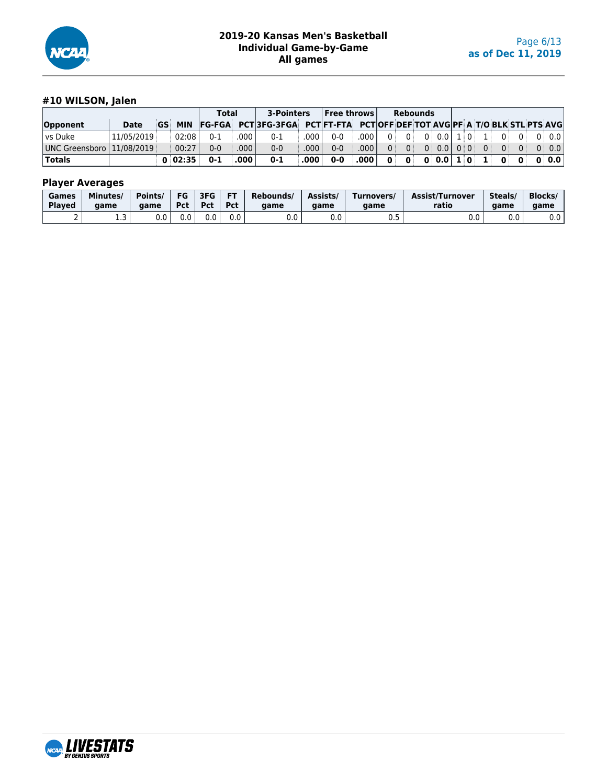

# **#10 WILSON, Jalen**

|                             |            |         | Total   |                   | 3-Pointers                                                                         |              | $ $ Free throws $ $ |                   |                | Rebounds       |                     |  |                |                |       |
|-----------------------------|------------|---------|---------|-------------------|------------------------------------------------------------------------------------|--------------|---------------------|-------------------|----------------|----------------|---------------------|--|----------------|----------------|-------|
| Opponent                    | Date       |         |         |                   | GS MIN FG-FGA PCT 3FG-3FGA PCT FT-FTA PCT OFF DEF TOT AVG PF A T/O BLK STL PTS AVG |              |                     |                   |                |                |                     |  |                |                |       |
| l vs Duke                   | 11/05/2019 | 02:08   | $0 - 1$ | ا 000.            | $0 - 1$                                                                            | ا 000.       | $0 - 0$             | .0001             | 0 <sup>1</sup> | 0 <sup>1</sup> | 0   0.0   1   0   1 |  | 0 <sup>1</sup> | $\overline{0}$ | 0:0.0 |
| UNC Greensboro   11/08/2019 |            | 00:27   | $0 - 0$ | .000 <sub>1</sub> | $0 - 0$                                                                            | ا 000.       | $0 - 0$             | .000 <sub>1</sub> | 0 <sup>1</sup> |                |                     |  |                |                | 0:0.0 |
| <b>Totals</b>               |            | 0:02:35 | $0 - 1$ | .000              | $0 - 1$                                                                            | $.000 \, \,$ | $0-0$               | .000              |                |                |                     |  |                |                |       |

| Games         | Minutes/ | Points/ | FG  | 3FG        | <b>FT</b> | Rebounds/ | Assists/ | Turnovers/ | Assist/Turnover | Steals/ | <b>Blocks</b> |
|---------------|----------|---------|-----|------------|-----------|-----------|----------|------------|-----------------|---------|---------------|
| <b>Played</b> | aame     | aame    | Pct | <b>Pct</b> | Pct       | aame      | aame     | aame       | ratio           | aame    | game          |
|               | . . ب    | 0.0     | 0.0 | 0.0        | 0.0       | 0.0       | ົ<br>v.v | ∪.J        | v.v             | 0.0     | 0.0           |

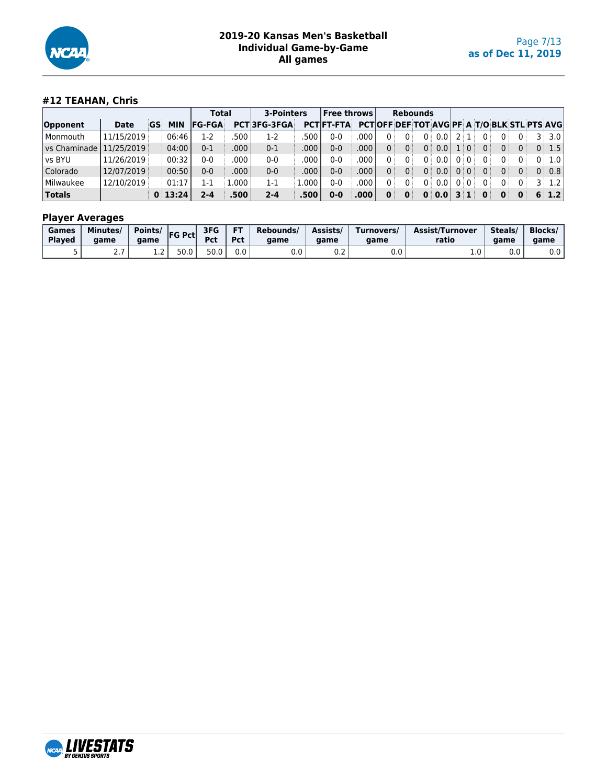

# **#12 TEAHAN, Chris**

|                  |            |    |         | <b>Total</b>  |         | 3-Pointers         |       | Free throws       |      |          |                | <b>Rebounds</b>                                     |                |      |                              |              |       |                   |
|------------------|------------|----|---------|---------------|---------|--------------------|-------|-------------------|------|----------|----------------|-----------------------------------------------------|----------------|------|------------------------------|--------------|-------|-------------------|
| Opponent         | Date       | GS | MIN     | <b>FG-FGA</b> |         | <b>PCT3FG-3FGA</b> |       | <b>PCTIFT-FTA</b> |      |          |                | <b>PCTOFF DEF TOT AVGIPF A T/O BLK STL PTS AVGI</b> |                |      |                              |              |       |                   |
| Monmouth         | 11/15/2019 |    | 06:46   | $1-2$         | 500     | $1-2$              | 500   | 0-0               | .000 | $\Omega$ | 0              | 0.0<br>0 :                                          |                |      | 0:<br>0:                     |              | 3 ।   | 3.0               |
| l vs Chaminade l | 11/25/2019 |    | 04:00   | $0 - 1$       | .000    | $0 - 1$            | .000  | 0-0               | .000 | 0        | 0 <sup>1</sup> | 0.0<br>0 :                                          |                | .i 0 | 0<br>0                       |              |       | 0:1.5             |
| vs BYU           | 11/26/2019 |    | 00:32   | $0 - 0$       | .000    | $0 - 0$            | .000  | 0-0               | .000 |          |                | 0.0<br>0 :                                          |                |      | 0                            |              | $0^+$ | $1.0 \mid$        |
| Colorado         | 12/07/2019 |    | 00:50   | $0 - 0$       | .000    | $0 - 0$            | .000  | 0-0               | .000 | 0        | 0 <sup>1</sup> | 0.0<br>0 :                                          | 0:0            |      | 0<br>0 <sup>1</sup>          |              | 0     | 0.8               |
| Milwaukee        | 12/10/2019 |    | 01:17   | 1-1           | $000$ . | 1-1                | 1.000 | $0 - 0$           | .000 | 0 i      | 0:             | 0.0<br>0 :                                          | 0:0:           |      | 0<br>$\Omega$                |              |       | $3 \mid 1.2 \mid$ |
| <b>Totals</b>    |            |    | 0:13:24 | 2-4           | .500    | $2 - 4$            | .500  | 0-0               | .000 | 0        | $\mathbf{0}$   | 0.0<br>0                                            | 3 <sup>1</sup> |      | $\mathbf{0}$<br>$\mathbf{0}$ | $\mathbf{0}$ |       | 6 1.2             |

| Games         | Minutes/        | Points/ | <b>FG Pct</b> | 3FG        | <b>FT</b> | Rebounds/ | Assists/ | Turnovers/           | Assist/Turnover | Steals/ | <b>Blocks/</b> |
|---------------|-----------------|---------|---------------|------------|-----------|-----------|----------|----------------------|-----------------|---------|----------------|
| <b>Played</b> | aame            | aame    |               | <b>Pct</b> | Pct       | qame      | aame     | aame                 | ratio           | aame    | aame           |
|               | - -<br>$\sim$ . | ∸∙      | 50.0          | 50.0       | 0.0       | v.u       | U.Z      | $\sim$ $\sim$<br>v.v | <b>L.V</b>      | 0.0     | 0.0            |

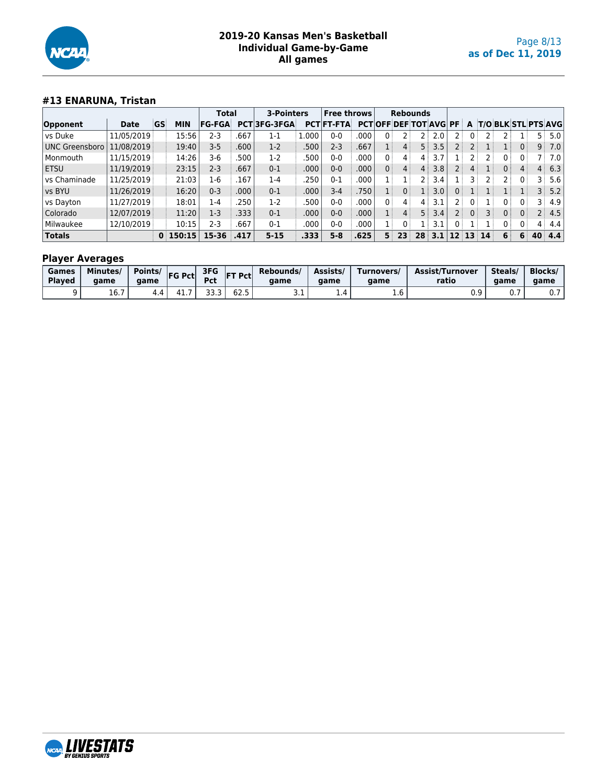

# **#13 ENARUNA, Tristan**

|                       |            |    |            | <b>Total</b>  |      | 3-Pointers  |       | <b>Free throws</b> |       |                   | <b>Rebounds</b>                |                |     |                |    |                 |                |    |                |                            |
|-----------------------|------------|----|------------|---------------|------|-------------|-------|--------------------|-------|-------------------|--------------------------------|----------------|-----|----------------|----|-----------------|----------------|----|----------------|----------------------------|
| Opponent              | Date       | GS | <b>MIN</b> | <b>FG-FGA</b> |      | PCT3FG-3FGA |       | <b>PCT FT-FTA</b>  |       |                   | <b>PCTIOFF DEF TOT AVGI PF</b> |                |     |                | A  |                 |                |    |                | <b>T/O BLK STL PTS AVG</b> |
| vs Duke               | 11/05/2019 |    | 15:56      | $2 - 3$       | .667 | $1 - 1$     | 1.000 | 0-0                | .000  | 0                 |                                |                | 2.0 |                |    |                 |                |    | 5.             | 5.0                        |
| <b>UNC Greensboro</b> | 11/08/2019 |    | 19:40      | $3 - 5$       | .600 | $1-2$       | 500   | $2 - 3$            | .667  |                   | $4^{\frac{1}{2}}$              | 5:             | 3.5 |                |    |                 |                | 0: | 9              | 7.0                        |
| Monmouth              | 11/15/2019 |    | 14:26      | 3-6           | 500  | $1-2$       | 500   | 0-0                | .000  | 0:                | $\overline{4}$                 | $\overline{4}$ | 3.7 |                |    |                 | 0:             |    |                | 7.0                        |
| <b>ETSU</b>           | 11/19/2019 |    | 23:15      | $2 - 3$       | .667 | $0 - 1$     | .000  | $0 - 0$            | .000  | 0 <sup>1</sup>    | 4:                             | $\overline{4}$ | 3.8 |                |    | l :             | 0 <sup>1</sup> | 4  | 4:             | 6.3                        |
| vs Chaminade          | 11/25/2019 |    | 21:03      | $1-6$         | .167 | $1-4$       | 250   | $0 - 1$            | .000  |                   |                                |                | 3.4 |                |    |                 |                |    | : ج            | 5.6                        |
| vs BYU                | 11/26/2019 |    | 16:20      | $0 - 3$       | .000 | $0 - 1$     | .000  | $3 - 4$            | .750' |                   | 0                              |                | 3.0 | 0              |    |                 |                |    | ঽ⊹             | 5.2                        |
| vs Dayton             | 11/27/2019 |    | 18:01      | 1-4           | .250 | $1-2$       | 500   | 0-0                | .000  | $0^{\frac{1}{2}}$ | $\overline{4}$                 | 4              | 3.1 |                |    |                 |                |    |                | 4.9                        |
| Colorado              | 12/07/2019 |    | 11:20      | $1-3$         | .333 | $0 - 1$     | .000  | $0 - 0$            | .000  |                   | 4:                             | 5 <sup>3</sup> | 3.4 | 2 <sup>1</sup> |    | 3 :             | 0              |    | 2 :            | 4.5                        |
| Milwaukee             | 12/10/2019 |    | 10:15      | $2 - 3$       | .667 | $0 - 1$     | .000  | $0-0$              | .000  |                   | 0 :                            |                | 3.1 | 0              |    |                 | 0              |    | 4 <sup>1</sup> | 4.4                        |
| <b>Totals</b>         |            | 0  | 150:15     | 15-36         | .417 | $5 - 15$    | .333  | $5 - 8$            | .625' | 5.                | 23                             | 28             | 3.1 | 12             | 13 | 14 <sup>1</sup> | 6              | 6  | $40^{\circ}$   | 4.4                        |

| Games         | Minutes/              | Points/ | <b>FG Pct</b> | 3FG        | Pct  | Rebounds/  | Assists/ | Turnovers/ | <b>Assist/Turnover</b> | Steals    | <b>Blocks/</b> |
|---------------|-----------------------|---------|---------------|------------|------|------------|----------|------------|------------------------|-----------|----------------|
| <b>Plaved</b> | aame                  | aame    |               | <b>Pct</b> | IET  | aame       | aame     | aame       | ratio                  | aame      | game           |
|               | $\sim$ $\sim$<br>10.7 | 4.4     | . .           |            | 02.J | <u>J.L</u> | $\pm .4$ | T.O        | v. .                   | <b>U.</b> | ν.,            |

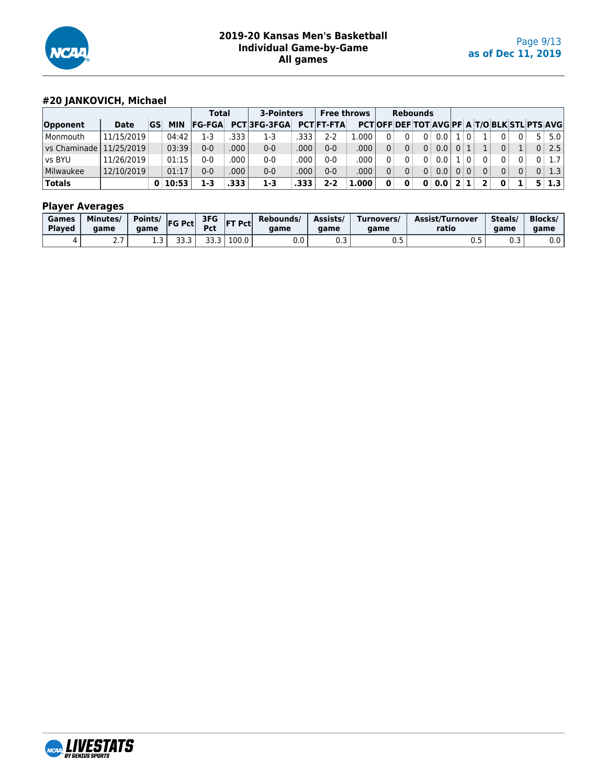

# **#20 JANKOVICH, Michael**

|                         |            |    |            | Total         |      | 3-Pointers         |      | <b>Free throws</b> |       |   |                | <b>Rebounds</b> |                  |     |       |          |                |             |                                                   |
|-------------------------|------------|----|------------|---------------|------|--------------------|------|--------------------|-------|---|----------------|-----------------|------------------|-----|-------|----------|----------------|-------------|---------------------------------------------------|
| Opponent                | Date       | GS | <b>MIN</b> | <b>FG-FGA</b> |      | <b>PCT3FG-3FGA</b> |      | <b>PCTIFT-FTA</b>  |       |   |                |                 |                  |     |       |          |                |             | <b>PCTOFF DEF TOT AVGPF A T/O BLK STL PTS AVG</b> |
| l Monmouth              | 11/15/2019 |    | 04:42      | 1-3           | .333 | 1-3                | 333  | 2-2                | .000  | 0 | 0 <sup>1</sup> |                 | 0:0.0            |     | . 10. |          | 0              |             | 5:5.0                                             |
| <u>l</u> vs Chaminade l | 11/25/2019 |    | 03:39      | $0 - 0$       | .000 | $0 - 0$            | 000  | $0 - 0$            | .000  |   | 0:             |                 | 0:0.0            | 0:1 |       |          | 0 <sup>1</sup> |             | 0:2.5                                             |
| vs BYU                  | 11/26/2019 |    | 01:15      | $0 - 0$       | .000 | $0-0$              | 000  | $0 - 0$            | .000  |   | $\Omega$       | 0 :             | 0.0 <sub>1</sub> |     | . : 0 | $\Omega$ | $\Omega$       |             | 0:1.7                                             |
| Milwaukee               | 12/10/2019 |    | 01:17      | $0 - 0$       | .000 | $0 - 0$            | 000  | $0 - 0$            | .000  |   | 0 <sup>1</sup> | $0$ :           | 0.0              |     | 0:0   | 0 i      | 0 <sup>1</sup> | $0^{\circ}$ | 0:1.3                                             |
| <b>Totals</b>           |            |    | 0:10:53    | 1-3           | .333 | 1-3                | .333 | 2-2                | 1.000 | 0 | $\mathbf{0}$   |                 | 0:0.0            | 2 1 |       |          | 0              |             | $5 \mid 1.3 \mid$                                 |

| Games<br><b>Plaved</b> | Minutes/<br>aame | Points/<br>aame | <b>IFG Pctl</b> | 3FG<br><b>Pct</b> | <b>FT Pctl</b> | Rebounds/<br>aame    | Assists/<br>qame | Turnovers/<br>aame | <b>Assist/Turnover</b><br>ratio | Steals/<br>aame | <b>Blocks/</b><br>aame |
|------------------------|------------------|-----------------|-----------------|-------------------|----------------|----------------------|------------------|--------------------|---------------------------------|-----------------|------------------------|
|                        | ،                | ---             | --<br>JJ.J      | JJ.J              | 100.0          | $\sim$ $\sim$<br>v.v | ◡.◡              | ◡.◡                | ∪.J                             | כ.ט             | 0.0                    |

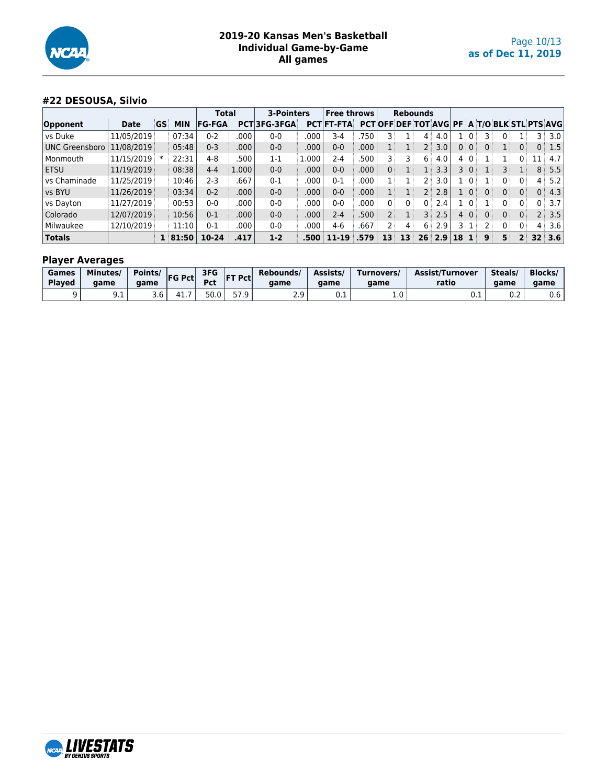

# **#22 DESOUSA, Silvio**

|                       |             |           |              | <b>Total</b>  |       | 3-Pointers  |       | <b>Free throws</b> |      |     | <b>Rebounds</b>                                    |       |             |       |                 |                |                |                |                |                  |
|-----------------------|-------------|-----------|--------------|---------------|-------|-------------|-------|--------------------|------|-----|----------------------------------------------------|-------|-------------|-------|-----------------|----------------|----------------|----------------|----------------|------------------|
| Opponent              | <b>Date</b> | <b>GS</b> | <b>MIN</b>   | <b>FG-FGA</b> |       | PCT3FG-3FGA |       | <b>PCT FT-FTA</b>  |      |     | <b>PCTOFF DEF TOT AVG PF A T/O BLK STL PTS AVG</b> |       |             |       |                 |                |                |                |                |                  |
| vs Duke               | 11/05/2019  |           | 07:34        | $0 - 2$       | .000  | $0 - 0$     | .000  | $3-4$              | 750  |     |                                                    | 4     | 4.0         |       | . : 0 :         |                |                |                | 3 :            | 3.0              |
| <b>UNC Greensboro</b> | 11/08/2019  |           | 05:48        | $0 - 3$       | .000  | $0 - 0$     | .000  | $0 - 0$            | .000 |     |                                                    | 2 i   | 3.0         |       | 0:0:            | 0:             |                |                | 0:             | 1.5              |
| Monmouth              | 11/15/2019  | $\ast$    | 22:31        | 4-8           | .500  | $1 - 1$     | 1.000 | 2-4                | 500  |     |                                                    | 6     | 4.0         |       | 40              |                |                |                |                | 4.7              |
| <b>ETSU</b>           | 11/19/2019  |           | 08:38        | $4 - 4$       | 1.000 | $0 - 0$     | .000  | $0 - 0$            | .000 | 0:  |                                                    | $1$ : | 3.3         |       | 3 0             |                |                |                | 8              | 5.5              |
| vs Chaminade          | 11/25/2019  |           | 10:46        | 2-3           | .667  | $0 - 1$     | .000  | 0-1                | 000  |     |                                                    | 2 :   | 3.0         |       | . 101           |                | 0 i            | Ω÷             | 4:             | 5.2              |
| vs BYU                | 11/26/2019  |           | 03:34        | $0 - 2$       | .000  | $0-0$       | .000  | $0 - 0$            | .000 |     |                                                    | 2 :   | 2.8         |       | $1 \mid 0 \mid$ | 0 <sup>1</sup> | 0 <sup>1</sup> | 0 <sup>1</sup> | 0              | 4.3              |
| vs Dayton             | 11/27/2019  |           | 00:53        | 0-0           | .000  | $0 - 0$     | .000  | 0-0                | 000  | 0   | 0 <sup>3</sup>                                     | 0 :   | 2.4         |       | ⊥∣O i           |                | 0 i            |                | 0              | 3.7 <sub>1</sub> |
| Colorado              | 12/07/2019  |           | 10:56        | $0 - 1$       | .000  | $0-0$       | .000  | $2 - 4$            | .500 | 2 : |                                                    | 3 :   | 2.5         |       | 4:0:            | 0 <sup>1</sup> | 0 <sup>1</sup> |                | 2 <sup>1</sup> | 3.5              |
| Milwaukee             | 12/10/2019  |           | 11:10        | $0 - 1$       | .000  | $0 - 0$     | .000  | 4-6                | .667 | 2 i | 4:                                                 | 6 :   | 2.9         | 3 : 1 |                 |                | $\Omega$       |                | 4:             | 3.6              |
| <b>Totals</b>         |             |           | $1 \, 81:50$ | 10-24         | .417  | $1-2$       | .500  | $11 - 19$          | 579  | 13  | 13                                                 |       | $26 \, 2.9$ | 18    |                 | 9              | 5              | $2^+$          |                | $32 \, 3.6$      |

| Games<br><b>Played</b> | Minutes/<br>qame | Points/<br>aame | <b>FG Pct</b> | 3FG<br><b>Pct</b> | <b>FT Pctl</b> | Rebounds/<br>aame | Assists/<br>aame | urnovers/<br>aame | Assist/Turnover<br>ratio | Steals/<br>game | <b>Blocks</b><br>game |
|------------------------|------------------|-----------------|---------------|-------------------|----------------|-------------------|------------------|-------------------|--------------------------|-----------------|-----------------------|
|                        | ン・エ              | 3.6             | 41            | 50.0              | 57 Q           | ر . ے             | U. L             | <b>L.U</b>        | ◡.⊥                      | ົ່<br>v.z       | 0.6                   |

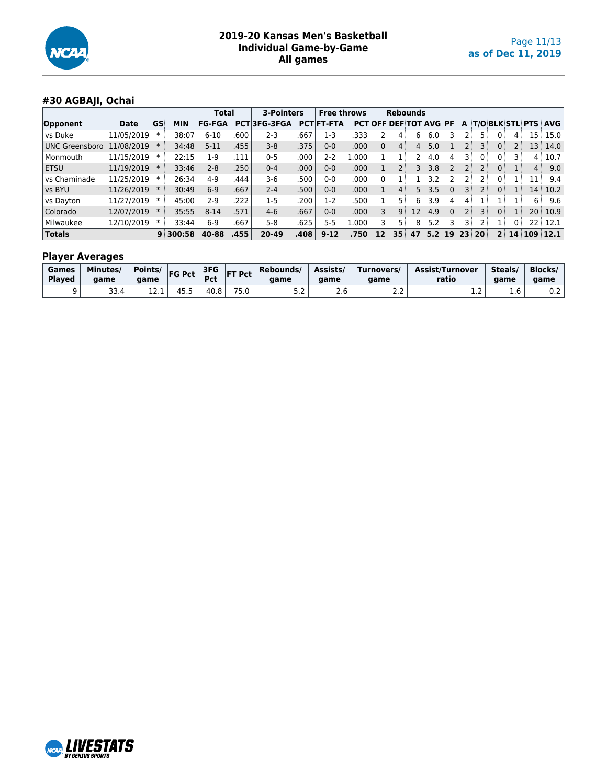

# **#30 AGBAJI, Ochai**

|                       |            |           |            | <b>Total</b>  |      | <b>3-Pointers</b>  |      | <b>Free throws</b> |       |                              | <b>Rebounds</b>   |                   |     |    |      |       |                |              |     |                            |
|-----------------------|------------|-----------|------------|---------------|------|--------------------|------|--------------------|-------|------------------------------|-------------------|-------------------|-----|----|------|-------|----------------|--------------|-----|----------------------------|
| Opponent              | Date       | <b>GS</b> | <b>MIN</b> | <b>FG-FGA</b> |      | <b>PCT3FG-3FGA</b> |      | <b>PCT FT-FTA</b>  |       | <b>PCTOFF DEF TOT AVG PF</b> |                   |                   |     |    | A    |       |                |              |     | <b>T/O BLK STL PTS AVG</b> |
| vs Duke               | 11/05/2019 |           | 38:07      | $6 - 10$      | .600 | $2 - 3$            | .667 | 1-3                | 333   |                              | 4                 | 6                 | 6.0 |    |      | 5.    |                |              | 15  | 15.0                       |
| <b>UNC Greensboro</b> | 11/08/2019 |           | 34:48      | $5 - 11$      | .455 | $3 - 8$            | .375 | $0-0$              | .000  | 0                            | 4:                | $4^{\frac{1}{2}}$ | 5.0 |    | 2 :  | 3     |                |              | 13  | 14.0                       |
| Monmouth              | 11/15/2019 |           | 22:15      | $1-9$         | 111  | $0 - 5$            | .000 | 2-2                | 1.000 |                              |                   | 2 :               | 4.0 | 4  | 3 :  | 0     | 0:             |              | 4   | 10.7                       |
| <b>ETSU</b>           | 11/19/2019 |           | 33:46      | $2 - 8$       | 250  | $0 - 4$            | .000 | $0 - 0$            | .000  |                              | $2^{\frac{1}{2}}$ | 3 :               | 3.8 |    | 2 :  | 2 :   | 0 <sup>1</sup> |              | 4:  | 9.0                        |
| vs Chaminade          | 11/25/2019 |           | 26:34      | $4-9$         | 444. | $3-6$              | 500  | 0-0                | .000  | 0                            |                   | 11.               | 3.2 |    | $2+$ | 2 i   | 0 <sup>1</sup> |              | 11  | 9.4                        |
| vs BYU                | 11/26/2019 |           | 30:49      | $6-9$         | 667  | $2 - 4$            | .500 | $0-0$              | .000  |                              | 4:                | 5 :               | 3.5 |    | 3 :  | 2     | 0 <sup>3</sup> |              | 14  | 10.2                       |
| vs Dayton             | 11/27/2019 |           | 45:00      | 2-9           | 222  | $1-5$              | .200 | $1-2$              | 500   |                              | $5^{\circ}$       | 6 :               | 3.9 | 4  | 4    |       |                |              | 6   | 9.6                        |
| Colorado              | 12/07/2019 |           | 35:55      | $8 - 14$      | 571  | $4-6$              | .667 | $0-0$              | .000  | 3 <sup>1</sup>               | 9:                | 12 <sup>1</sup>   | 4.9 | 0  | 2 :  | 3     | 0 <sup>1</sup> |              | 20: | 10.9                       |
| Milwaukee             | 12/10/2019 |           | 33:44      | $6-9$         | 667  | $5-8$              | 625  | 5-5                | 1.000 |                              | 5 :               | 8                 | 5.2 |    |      |       |                | 0 :          | 22: | 12.1                       |
| <b>Totals</b>         |            |           | 9:300:58   | 40-88         | 455  | 20-49              | 408  | $9 - 12$           | 750   | 12                           | 35                | 47                | 5.2 | 19 |      | 23 20 | $2^+$          | $14^{\circ}$ |     | 109:12.1                   |

| Games<br><b>Played</b> | Minutes/<br>aame | Points/<br>aame    | <b>FG Pct</b> | 3FG<br>Pct | <b>IFT Pctl</b> | Rebounds/<br>aame | Assists<br>aame | Turnovers/<br>aame | Assist/Turnover<br>ratio | Steals/<br>aame | <b>Blocks/</b><br>aame |
|------------------------|------------------|--------------------|---------------|------------|-----------------|-------------------|-----------------|--------------------|--------------------------|-----------------|------------------------|
|                        | 33.4             | <b>131</b><br>ᆠᄼᆞᆠ | .             | 40.8       | ¬−<br>J.U       | ے ، ب             | z.u             | ے . د              | . . <u>.</u>             | $\sim$<br>⊥.b ' | U.Z                    |

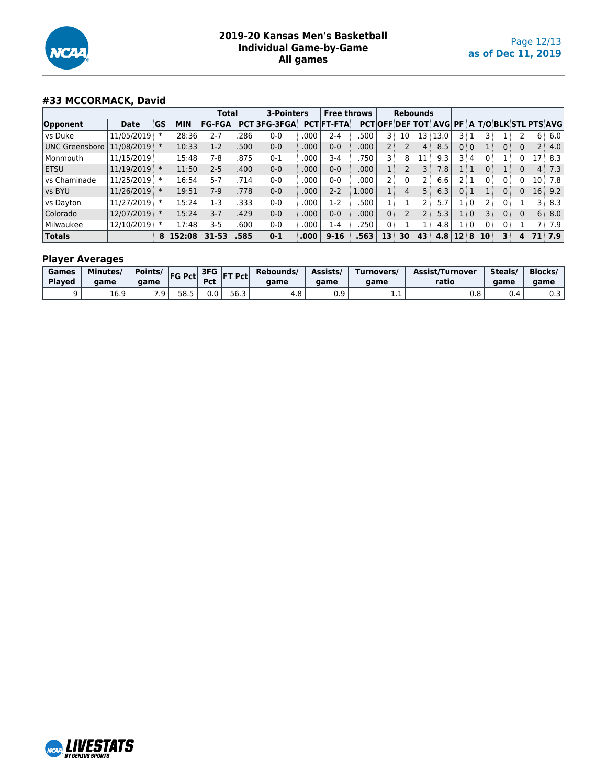

# **#33 MCCORMACK, David**

|                       |            |        |            | <b>Total</b>  |      | <b>3-Pointers</b> |                   | <b>Free throws</b> |                   |     | <b>Rebounds</b> |         |                                                    |                   |                 |                 |                |     |                 |     |
|-----------------------|------------|--------|------------|---------------|------|-------------------|-------------------|--------------------|-------------------|-----|-----------------|---------|----------------------------------------------------|-------------------|-----------------|-----------------|----------------|-----|-----------------|-----|
| Opponent              | Date       | GS     | <b>MIN</b> | <b>FG-FGA</b> |      | PCT3FG-3FGA       |                   | <b>PCT FT-FTA</b>  |                   |     |                 |         | <b>PCTOFF DEF TOT AVG PF A T/O BLK STL PTS AVG</b> |                   |                 |                 |                |     |                 |     |
| vs Duke               | 11/05/2019 |        | 28:36      | 2-7           | 286  | $0 - 0$           | 000               | 2-4                | 500               | 3 ! | : 10            | 13 :    | 13.0                                               | 3 : :             |                 |                 |                |     | 6               | 6.0 |
| <b>UNC Greensboro</b> | 11/08/2019 |        | 10:33      | $1-2$         | .500 | $0 - 0$           | .000              | $0 - 0$            | .000              |     |                 | 4       | 8.5                                                |                   | 0:0:            |                 | 0:             |     | 2 :             | 4.0 |
| Monmouth              | 11/15/2019 |        | 15:48      | 7-8           | .875 | $0 - 1$           | .000              | 3-4                | .750              |     | 8               | 11      | 9.3                                                |                   | 3 4             |                 |                | 0 : | 17              | 8.3 |
| <b>ETSU</b>           | 11/19/2019 | $\ast$ | 11:50      | $2 - 5$       | .400 | $0 - 0$           | .000              | 0-0                | .000              |     |                 |         | 7.8                                                |                   | 1   1           | 0 <sup>1</sup>  |                |     | 4:              | 7.3 |
| vs Chaminade          | 11/25/2019 | ж      | 16:54      | $5 - 7$       | .714 | $0 - 0$           | .000              | $0-0$              | 000               |     | 0               |         | 6.6                                                | 2 :               |                 |                 | Ω              |     | 10              | 7.8 |
| vs BYU                | 11/26/2019 | $\ast$ | 19:51      | $7-9$         | .778 | $0 - 0$           | 000               | $2 - 2$            | 1.000             |     | 4               | 5       | 6.3                                                |                   | 0   1           |                 | 0 <sup>1</sup> |     | 16 <sup>1</sup> | 9.2 |
| vs Dayton             | 11/27/2019 | $\ast$ | 15:24      | 1-3           | 333  | $0 - 0$           | 000               | $1-2$              | 500               |     |                 |         | 5.7                                                |                   | l i O i         |                 |                |     | 3 :             | 8.3 |
| Colorado              | 12/07/2019 | $\ast$ | 15:24      | $3 - 7$       | .429 | $0-0$             | .000              | 0-0                | .000              | 0:  |                 |         | 5.3                                                |                   | $1 \mid 0 \mid$ |                 | 0 <sup>1</sup> |     | 6               | 8.0 |
| Milwaukee             | 12/10/2019 | $\ast$ | 17:48      | $3 - 5$       | .600 | $0 - 0$           | .000              | 1-4                | .250 <sup>2</sup> | 0   |                 | $\perp$ | 4.8                                                |                   | $1 \mid 0 \mid$ |                 | 0 <sup>1</sup> |     |                 | 7.9 |
| <b>Totals</b>         |            |        | 8 152:08   | $31 - 53$     | .585 | $0 - 1$           | .000 <sub>1</sub> | $9 - 16$           | .563              | 13  | 30              | 43      | 4.8                                                | $12 \overline{8}$ |                 | 10 <sup>1</sup> | 3              |     |                 | 7.9 |

| Games<br><b>Played</b> | Minutes/<br>aame | Points/<br>aame | <b>IFG Pct</b> | 3FG<br><b>Pct</b> | <b>FT Pctl</b>     | Rebounds/<br>aame | Assists/<br>aame | Turnovers/<br>aame | <b>Assist/Turnover</b><br>ratio | Steals <sub>/</sub><br>aame | <b>Blocks</b><br>game |
|------------------------|------------------|-----------------|----------------|-------------------|--------------------|-------------------|------------------|--------------------|---------------------------------|-----------------------------|-----------------------|
|                        | 16.9             | 70.<br>. .      | 58.5<br>JU.J   | 0.0               | <b>---</b><br>56.3 | $\Omega$<br>4.ŏ   | n a<br>v. J      | د د د              | v.u                             | U.4                         | ົ<br>υ. ο             |